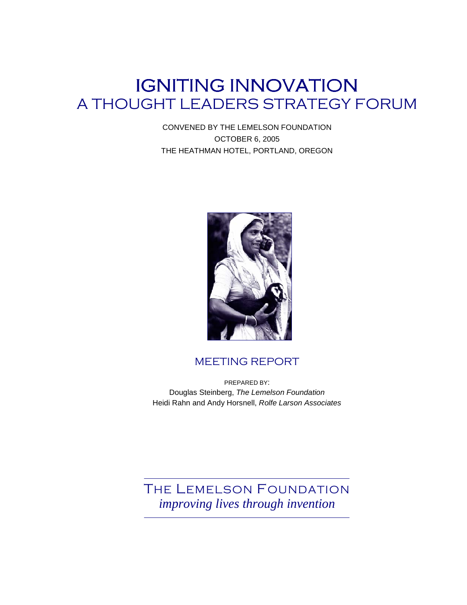# IGNITING INNOVATION A THOUGHT LEADERS STRATEGY FORUM

CONVENED BY THE LEMELSON FOUNDATION OCTOBER 6, 2005 THE HEATHMAN HOTEL, PORTLAND, OREGON



## MEETING REPORT

PREPARED BY: Douglas Steinberg, The Lemelson Foundation Heidi Rahn and Andy Horsnell, Rolfe Larson Associates

THE LEMELSON FOUNDATION *improving lives through invention*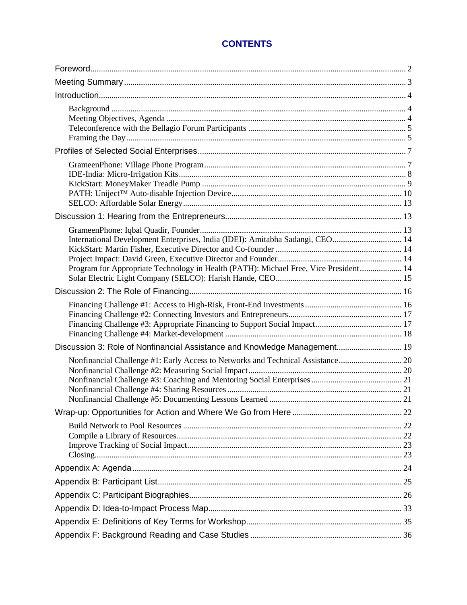## **CONTENTS**

| International Development Enterprises, India (IDEI): Amitabha Sadangi, CEO 14<br>Program for Appropriate Technology in Health (PATH): Michael Free, Vice President 14 |  |
|-----------------------------------------------------------------------------------------------------------------------------------------------------------------------|--|
|                                                                                                                                                                       |  |
|                                                                                                                                                                       |  |
| Discussion 3: Role of Nonfinancial Assistance and Knowledge Management 19                                                                                             |  |
|                                                                                                                                                                       |  |
|                                                                                                                                                                       |  |
|                                                                                                                                                                       |  |
|                                                                                                                                                                       |  |
|                                                                                                                                                                       |  |
|                                                                                                                                                                       |  |
|                                                                                                                                                                       |  |
|                                                                                                                                                                       |  |
|                                                                                                                                                                       |  |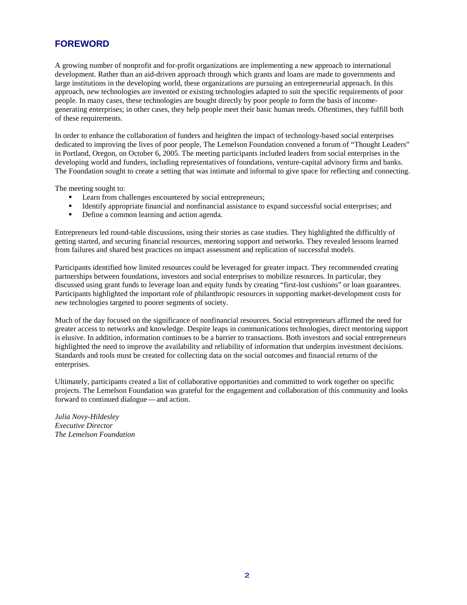## **FOREWORD**

A growing number of nonprofit and for-profit organizations are implementing a new approach to international development. Rather than an aid-driven approach through which grants and loans are made to governments and large institutions in the developing world, these organizations are pursuing an entrepreneurial approach. In this approach, new technologies are invented or existing technologies adapted to suit the specific requirements of poor people. In many cases, these technologies are bought directly by poor people to form the basis of incomegenerating enterprises; in other cases, they help people meet their basic human needs. Oftentimes, they fulfill both of these requirements.

In order to enhance the collaboration of funders and heighten the impact of technology-based social enterprises dedicated to improving the lives of poor people, The Lemelson Foundation convened a forum of "Thought Leaders" in Portland, Oregon, on October 6, 2005. The meeting participants included leaders from social enterprises in the developing world and funders, including representatives of foundations, venture-capital advisory firms and banks. The Foundation sought to create a setting that was intimate and informal to give space for reflecting and connecting.

The meeting sought to:

- Learn from challenges encountered by social entrepreneurs;
- Identify appropriate financial and nonfinancial assistance to expand successful social enterprises; and
- Define a common learning and action agenda.

Entrepreneurs led round-table discussions, using their stories as case studies. They highlighted the difficultly of getting started, and securing financial resources, mentoring support and networks. They revealed lessons learned from failures and shared best practices on impact assessment and replication of successful models.

Participants identified how limited resources could be leveraged for greater impact. They recommended creating partnerships between foundations, investors and social enterprises to mobilize resources. In particular, they discussed using grant funds to leverage loan and equity funds by creating "first-lost cushions" or loan guarantees. Participants highlighted the important role of philanthropic resources in supporting market-development costs for new technologies targeted to poorer segments of society.

Much of the day focused on the significance of nonfinancial resources. Social entrepreneurs affirmed the need for greater access to networks and knowledge. Despite leaps in communications technologies, direct mentoring support is elusive. In addition, information continues to be a barrier to transactions. Both investors and social entrepreneurs highlighted the need to improve the availability and reliability of information that underpins investment decisions. Standards and tools must be created for collecting data on the social outcomes and financial returns of the enterprises.

Ultimately, participants created a list of collaborative opportunities and committed to work together on specific projects. The Lemelson Foundation was grateful for the engagement and collaboration of this community and looks forward to continued dialogue — and action.

*Julia Novy-Hildesley Executive Director The Lemelson Foundation*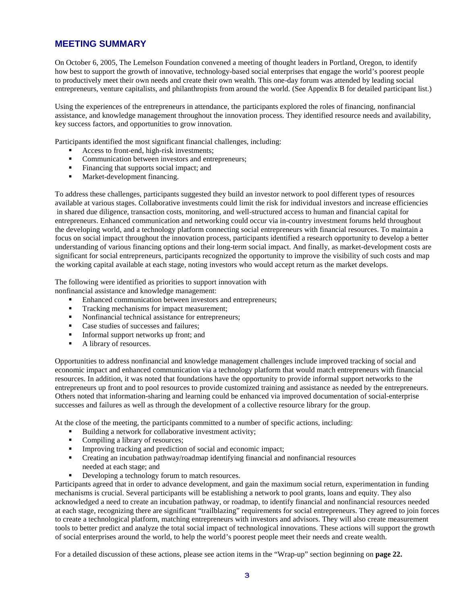#### **MEETING SUMMARY**

On October 6, 2005, The Lemelson Foundation convened a meeting of thought leaders in Portland, Oregon, to identify how best to support the growth of innovative, technology-based social enterprises that engage the world's poorest people to productively meet their own needs and create their own wealth. This one-day forum was attended by leading social entrepreneurs, venture capitalists, and philanthropists from around the world. (See Appendix B for detailed participant list.)

Using the experiences of the entrepreneurs in attendance, the participants explored the roles of financing, nonfinancial assistance, and knowledge management throughout the innovation process. They identified resource needs and availability, key success factors, and opportunities to grow innovation.

Participants identified the most significant financial challenges, including:

- Access to front-end, high-risk investments;
- Communication between investors and entrepreneurs;
- Financing that supports social impact; and
- Market-development financing.

To address these challenges, participants suggested they build an investor network to pool different types of resources available at various stages. Collaborative investments could limit the risk for individual investors and increase efficiencies in shared due diligence, transaction costs, monitoring, and well-structured access to human and financial capital for entrepreneurs. Enhanced communication and networking could occur via in-country investment forums held throughout the developing world, and a technology platform connecting social entrepreneurs with financial resources. To maintain a focus on social impact throughout the innovation process, participants identified a research opportunity to develop a better understanding of various financing options and their long-term social impact. And finally, as market-development costs are significant for social entrepreneurs, participants recognized the opportunity to improve the visibility of such costs and map the working capital available at each stage, noting investors who would accept return as the market develops.

The following were identified as priorities to support innovation with

nonfinancial assistance and knowledge management:

- Enhanced communication between investors and entrepreneurs;
- Tracking mechanisms for impact measurement:
- Nonfinancial technical assistance for entrepreneurs;
- Case studies of successes and failures;
- Informal support networks up front; and
- A library of resources.

Opportunities to address nonfinancial and knowledge management challenges include improved tracking of social and economic impact and enhanced communication via a technology platform that would match entrepreneurs with financial resources. In addition, it was noted that foundations have the opportunity to provide informal support networks to the entrepreneurs up front and to pool resources to provide customized training and assistance as needed by the entrepreneurs. Others noted that information-sharing and learning could be enhanced via improved documentation of social-enterprise successes and failures as well as through the development of a collective resource library for the group.

At the close of the meeting, the participants committed to a number of specific actions, including:

- Building a network for collaborative investment activity;
- Compiling a library of resources;
- Improving tracking and prediction of social and economic impact;
- Creating an incubation pathway/roadmap identifying financial and nonfinancial resources needed at each stage; and
- Developing a technology forum to match resources.

Participants agreed that in order to advance development, and gain the maximum social return, experimentation in funding mechanisms is crucial. Several participants will be establishing a network to pool grants, loans and equity. They also acknowledged a need to create an incubation pathway, or roadmap, to identify financial and nonfinancial resources needed at each stage, recognizing there are significant "trailblazing" requirements for social entrepreneurs. They agreed to join forces to create a technological platform, matching entrepreneurs with investors and advisors. They will also create measurement tools to better predict and analyze the total social impact of technological innovations. These actions will support the growth of social enterprises around the world, to help the world's poorest people meet their needs and create wealth.

For a detailed discussion of these actions, please see action items in the "Wrap-up" section beginning on **page 22.**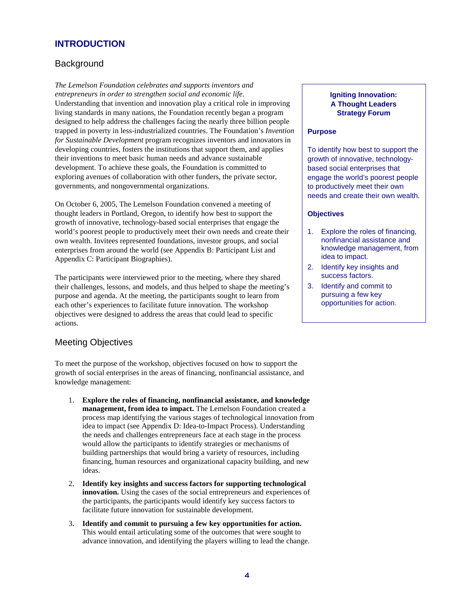## **INTRODUCTION**

## **Background**

*The Lemelson Foundation celebrates and supports inventors and entrepreneurs in order to strengthen social and economic life.* **Igniting Innovation: Igniting Innovation:** Understanding that invention and innovation play a critical role in improving **A Thought Leaders** living standards in many nations, the Foundation recently began a program **Strategy Forum** designed to help address the challenges facing the nearly three billion people trapped in poverty in less-industrialized countries. The Foundation's *Invention* **Purpose**  *for Sustainable Development* program recognizes inventors and innovators in developing countries, fosters the institutions that support them, and applies  $\Box$  To identify how best to support the their inventions to meet basic human needs and advance sustainable growth of innovative, technologydevelopment. To achieve these goals, the Foundation is committed to based social enterprises that exploring avenues of collaboration with other funders, the private sector, engage the world's poorest people governments, and nongovernmental organizations. The state of productively meet their own

On October 6, 2005, The Lemelson Foundation convened a meeting of thought leaders in Portland, Oregon, to identify how best to support the **Objectives**  growth of innovative, technology-based social enterprises that engage the world's poorest people to productively meet their own needs and create their 1. Explore the roles of financing, own wealth. Invitees represented foundations, investor groups, and social nonfinancial assistance and<br>enterprises from around the world (see Appendix B: Participant List and knowledge management, from enterprises from around the world (see Appendix B: Participant List and knowledge management, and knowledge management, from a knowledge management, and knowledge management, from a knowledge management, and have a to impa Appendix C: Participant Biographies).

The participants were interviewed prior to the meeting, where they shared success factors. their challenges, lessons, and models, and thus helped to shape the meeting's 3. Identify and commit to purpose and agenda. At the meeting, the participants sought to learn from pursuing a few key<br>each other's experiences to facilitate future innovation. The workshop opportunities for action. each other's experiences to facilitate future innovation. The workshop objectives were designed to address the areas that could lead to specific actions.

## Meeting Objectives

To meet the purpose of the workshop, objectives focused on how to support the growth of social enterprises in the areas of financing, nonfinancial assistance, and knowledge management:

- 1. **Explore the roles of financing, nonfinancial assistance, and knowledge management, from idea to impact.** The Lemelson Foundation created a process map identifying the various stages of technological innovation from idea to impact (see Appendix D: Idea-to-Impact Process). Understanding the needs and challenges entrepreneurs face at each stage in the process would allow the participants to identify strategies or mechanisms of building partnerships that would bring a variety of resources, including financing, human resources and organizational capacity building, and new ideas.
- 2. Identify key insights and success factors for supporting technological **innovation.** Using the cases of the social entrepreneurs and experiences of the participants, the participants would identify key success factors to facilitate future innovation for sustainable development.
- 3. **Identify and commit to pursuing a few key opportunities for action.**  This would entail articulating some of the outcomes that were sought to advance innovation, and identifying the players willing to lead the change.

needs and create their own wealth.

- 
- 2. Identify key insights and
-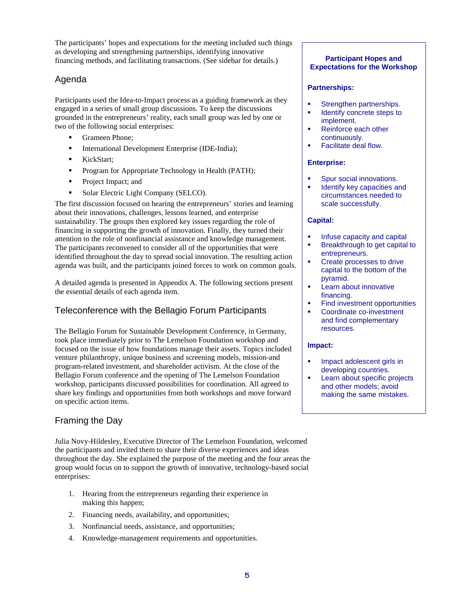The participants' hopes and expectations for the meeting included such things as developing and strengthening partnerships, identifying innovative financing methods, and facilitating transactions. (See sidebar for details.)

## Agenda

Participants used the Idea-to-Impact process as a guiding framework as they engaged in a series of small group discussions. To keep the discussions grounded in the entrepreneurs' reality, each small group was led by one or two of the following social enterprises:

- Grameen Phone:
- International Development Enterprise (IDE-India);
- KickStart:
- Program for Appropriate Technology in Health (PATH);
- Project Impact; and
- Solar Electric Light Company (SELCO).

The first discussion focused on hearing the entrepreneurs' stories and learning about their innovations, challenges, lessons learned, and enterprise sustainability. The groups then explored key issues regarding the role of financing in supporting the growth of innovation. Finally, they turned their attention to the role of nonfinancial assistance and knowledge management. The participants reconvened to consider all of the opportunities that were identified throughout the day to spread social innovation. The resulting action agenda was built, and the participants joined forces to work on common goals.

A detailed agenda is presented in Appendix A. The following sections present the essential details of each agenda item.

## Teleconference with the Bellagio Forum Participants

The Bellagio Forum for Sustainable Development Conference, in Germany, took place immediately prior to The Lemelson Foundation workshop and focused on the issue of how foundations manage their assets. Topics included venture philanthropy, unique business and screening models, mission-and program-related investment, and shareholder activism. At the close of the Bellagio Forum conference and the opening of The Lemelson Foundation workshop, participants discussed possibilities for coordination. All agreed to share key findings and opportunities from both workshops and move forward on specific action items.

## Framing the Day

Julia Novy-Hildesley, Executive Director of The Lemelson Foundation, welcomed the participants and invited them to share their diverse experiences and ideas throughout the day. She explained the purpose of the meeting and the four areas the group would focus on to support the growth of innovative, technology-based social enterprises:

- 1. Hearing from the entrepreneurs regarding their experience in making this happen;
- 2. Financing needs, availability, and opportunities;
- 3. Nonfinancial needs, assistance, and opportunities;
- 4. Knowledge-management requirements and opportunities.

#### **Participant Hopes and Expectations for the Workshop**

#### **Partnerships:**

- Strengthen partnerships.
- Identify concrete steps to implement.
- Reinforce each other continuously.
- Facilitate deal flow.

#### **Enterprise:**

- Spur social innovations.
- Identify key capacities and circumstances needed to scale successfully.

#### **Capital:**

- Infuse capacity and capital
- Breakthrough to get capital to entrepreneurs.
- Create processes to drive capital to the bottom of the pyramid.
- Learn about innovative financing.
- Find investment opportunities
- Coordinate co-investment and find complementary resources.

#### **Impact:**

- Impact adolescent girls in developing countries.
- Learn about specific projects and other models; avoid making the same mistakes.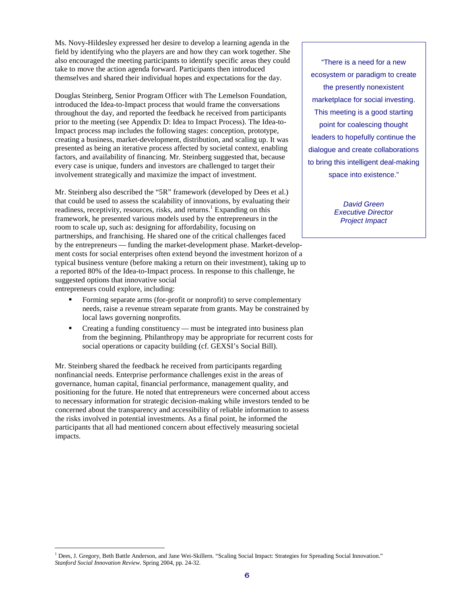Ms. Novy-Hildesley expressed her desire to develop a learning agenda in the field by identifying who the players are and how they can work together. She also encouraged the meeting participants to identify specific areas they could "There is a need for a new take to move the action agenda forward. Participants then introduced themselves and shared their individual hopes and expectations for the day. ecosystem or paradigm to create

Douglas Steinberg, Senior Program Officer with The Lemelson Foundation,<br>introduced the Idea-to-Impact process that would frame the conversations<br>throughout the day, and reported the feedback he received from participants<br>T throughout the day, and reported the feedback he received from participants prior to the meeting (see Appendix D: Idea to Impact Process). The Idea-to- point for coalescing thought Impact process map includes the following stages: conception, prototype, creating a business, market-development, distribution, and scaling up. It was leaders to hopefully continue the presented as being an iterative process affected by societal context, enabling dialogue and create collaborations factors, and availability of financing. Mr. Steinberg suggested that, because to bring this intelligent deal-making every case is unique, funders and investors are challenged to target their involvement strategically and maximize the impact of investment.

Mr. Steinberg also described the "5R" framework (developed by Dees et al.) that could be used to assess the scalability of innovations, by evaluating their  $David$  Green readiness, receptivity, resources, risks, and returns.<sup>1</sup> Expanding on this Executive Director framework, he presented various models used by the entrepreneurs in the room to scale up, such as: designing for affordability, focusing on partnerships, and franchising. He shared one of the critical challenges faced by the entrepreneurs — funding the market-development phase. Market-develop ment costs for social enterprises often extend beyond the investment horizon of a typical business venture (before making a return on their investment), taking up to a reported 80% of the Idea-to-Impact process. In response to this challenge, he suggested options that innovative social entrepreneurs could explore, including:

- Forming separate arms (for-profit or nonprofit) to serve complementary needs, raise a revenue stream separate from grants. May be constrained by local laws governing nonprofits.
- Creating a funding constituency must be integrated into business plan from the beginning. Philanthropy may be appropriate for recurrent costs for social operations or capacity building (cf. GEXSI's Social Bill).

Mr. Steinberg shared the feedback he received from participants regarding nonfinancial needs. Enterprise performance challenges exist in the areas of governance, human capital, financial performance, management quality, and positioning for the future. He noted that entrepreneurs were concerned about access to necessary information for strategic decision-making while investors tended to be concerned about the transparency and accessibility of reliable information to assess the risks involved in potential investments. As a final point, he informed the participants that all had mentioned concern about effectively measuring societal impacts.

the presently nonexistent space into existence."

**Project Impact** 

<sup>&</sup>lt;sup>1</sup> Dees, J. Gregory, Beth Battle Anderson, and Jane Wei-Skillern. "Scaling Social Impact: Strategies for Spreading Social Innovation." *Stanford Social Innovation Review*. Spring 2004, pp. 24-32.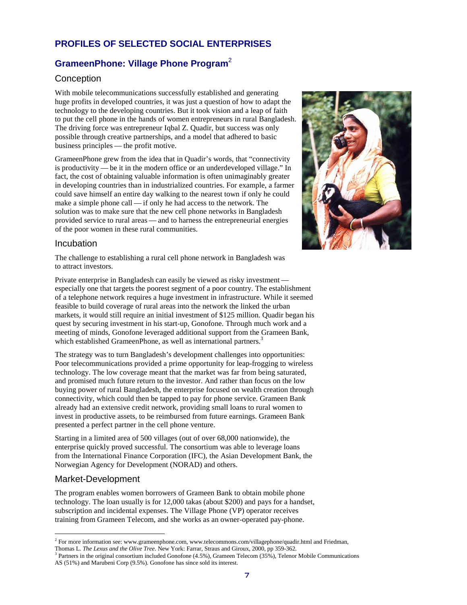## **PROFILES OF SELECTED SOCIAL ENTERPRISES**

## **GrameenPhone: Village Phone Program**<sup>2</sup>

## **Conception**

With mobile telecommunications successfully established and generating huge profits in developed countries, it was just a question of how to adapt the technology to the developing countries. But it took vision and a leap of faith to put the cell phone in the hands of women entrepreneurs in rural Bangladesh. The driving force was entrepreneur Iqbal Z. Quadir, but success was only possible through creative partnerships, and a model that adhered to basic business principles — the profit motive.

GrameenPhone grew from the idea that in Quadir's words, that "connectivity is productivity — be it in the modern office or an underdeveloped village." In fact, the cost of obtaining valuable information is often unimaginably greater in developing countries than in industrialized countries. For example, a farmer could save himself an entire day walking to the nearest town if only he could make a simple phone call — if only he had access to the network. The solution was to make sure that the new cell phone networks in Bangladesh provided service to rural areas — and to harness the entrepreneurial energies of the poor women in these rural communities.



#### Incubation

The challenge to establishing a rural cell phone network in Bangladesh was to attract investors.

Private enterprise in Bangladesh can easily be viewed as risky investment especially one that targets the poorest segment of a poor country. The establishment of a telephone network requires a huge investment in infrastructure. While it seemed feasible to build coverage of rural areas into the network the linked the urban markets, it would still require an initial investment of \$125 million. Quadir began his quest by securing investment in his start-up, Gonofone. Through much work and a meeting of minds, Gonofone leveraged additional support from the Grameen Bank, which established GrameenPhone, as well as international partners.<sup>3</sup>

The strategy was to turn Bangladesh's development challenges into opportunities: Poor telecommunications provided a prime opportunity for leap-frogging to wireless technology. The low coverage meant that the market was far from being saturated, and promised much future return to the investor. And rather than focus on the low buying power of rural Bangladesh, the enterprise focused on wealth creation through connectivity, which could then be tapped to pay for phone service. Grameen Bank already had an extensive credit network, providing small loans to rural women to invest in productive assets, to be reimbursed from future earnings. Grameen Bank presented a perfect partner in the cell phone venture.

Starting in a limited area of 500 villages (out of over 68,000 nationwide), the enterprise quickly proved successful. The consortium was able to leverage loans from the International Finance Corporation (IFC), the Asian Development Bank, the Norwegian Agency for Development (NORAD) and others.

## Market-Development

The program enables women borrowers of Grameen Bank to obtain mobile phone technology. The loan usually is for 12,000 takas (about \$200) and pays for a handset, subscription and incidental expenses. The Village Phone (VP) operator receives training from Grameen Telecom, and she works as an owner-operated pay-phone.

 $2^2$  For more information see: www.grameenphone.com, www.telecommons.com/villagephone/quadir.html and Friedman, Thomas L. *The Lexus and the Olive Tree.* New York: Farrar, Straus and Giroux, 2000, pp 359-362.

<sup>&</sup>lt;sup>3</sup> Partners in the original consortium included Gonofone (4.5%), Grameen Telecom (35%), Telenor Mobile Communications AS (51%) and Marubeni Corp (9.5%). Gonofone has since sold its interest.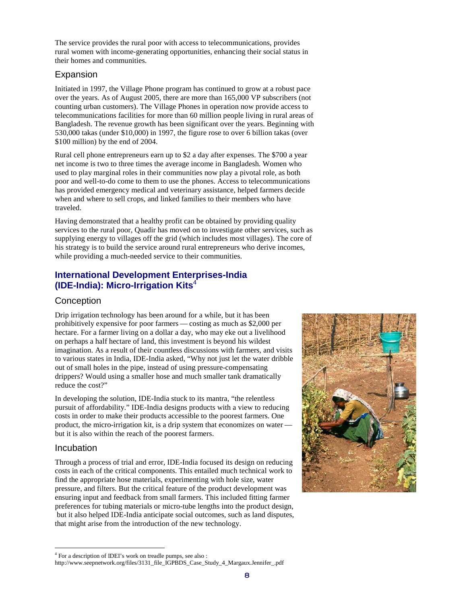The service provides the rural poor with access to telecommunications, provides rural women with income-generating opportunities, enhancing their social status in their homes and communities.

#### Expansion

Initiated in 1997, the Village Phone program has continued to grow at a robust pace over the years. As of August 2005, there are more than 165,000 VP subscribers (not counting urban customers). The Village Phones in operation now provide access to telecommunications facilities for more than 60 million people living in rural areas of Bangladesh. The revenue growth has been significant over the years. Beginning with 530,000 takas (under \$10,000) in 1997, the figure rose to over 6 billion takas (over \$100 million) by the end of 2004.

Rural cell phone entrepreneurs earn up to \$2 a day after expenses. The \$700 a year net income is two to three times the average income in Bangladesh. Women who used to play marginal roles in their communities now play a pivotal role, as both poor and well-to-do come to them to use the phones. Access to telecommunications has provided emergency medical and veterinary assistance, helped farmers decide when and where to sell crops, and linked families to their members who have traveled.

Having demonstrated that a healthy profit can be obtained by providing quality services to the rural poor, Quadir has moved on to investigate other services, such as supplying energy to villages off the grid (which includes most villages). The core of his strategy is to build the service around rural entrepreneurs who derive incomes, while providing a much-needed service to their communities.

## **International Development Enterprises-India (IDE-India): Micro-Irrigation Kits**<sup>4</sup>

#### **Conception**

Drip irrigation technology has been around for a while, but it has been prohibitively expensive for poor farmers — costing as much as \$2,000 per hectare. For a farmer living on a dollar a day, who may eke out a livelihood on perhaps a half hectare of land, this investment is beyond his wildest imagination. As a result of their countless discussions with farmers, and visits to various states in India, IDE-India asked, "Why not just let the water dribble out of small holes in the pipe, instead of using pressure-compensating drippers? Would using a smaller hose and much smaller tank dramatically reduce the cost?"

In developing the solution, IDE-India stuck to its mantra, "the relentless pursuit of affordability." IDE-India designs products with a view to reducing costs in order to make their products accessible to the poorest farmers. One product, the micro-irrigation kit, is a drip system that economizes on water but it is also within the reach of the poorest farmers.

#### Incubation

Through a process of trial and error, IDE-India focused its design on reducing costs in each of the critical components. This entailed much technical work to find the appropriate hose materials, experimenting with hole size, water pressure, and filters. But the critical feature of the product development was ensuring input and feedback from small farmers. This included fitting farmer preferences for tubing materials or micro-tube lengths into the product design, but it also helped IDE-India anticipate social outcomes, such as land disputes, that might arise from the introduction of the new technology.



<sup>4</sup> For a description of IDEI's work on treadle pumps, see also : http://www.seepnetwork.org/files/3131\_file\_IGPBDS\_Case\_Study\_4\_Margaux.Jennifer\_.pdf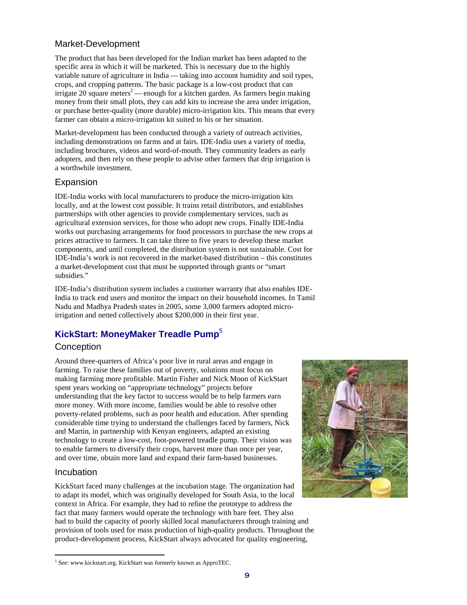## Market-Development

The product that has been developed for the Indian market has been adapted to the specific area in which it will be marketed. This is necessary due to the highly variable nature of agriculture in India — taking into account humidity and soil types, crops, and cropping patterns. The basic package is a low-cost product that can  $\frac{1}{2}$  irrigate 20 square meters<sup>2</sup> — enough for a kitchen garden. As farmers begin making money from their small plots, they can add kits to increase the area under irrigation, or purchase better-quality (more durable) micro-irrigation kits. This means that every farmer can obtain a micro-irrigation kit suited to his or her situation.

Market-development has been conducted through a variety of outreach activities, including demonstrations on farms and at fairs. IDE-India uses a variety of media, including brochures, videos and word-of-mouth. They community leaders as early adopters, and then rely on these people to advise other farmers that drip irrigation is a worthwhile investment.

#### Expansion

IDE-India works with local manufacturers to produce the micro-irrigation kits locally, and at the lowest cost possible. It trains retail distributors, and establishes partnerships with other agencies to provide complementary services, such as agricultural extension services, for those who adopt new crops. Finally IDE-India works out purchasing arrangements for food processors to purchase the new crops at prices attractive to farmers. It can take three to five years to develop these market components, and until completed, the distribution system is not sustainable. Cost for IDE-India's work is not recovered in the market-based distribution – this constitutes a market-development cost that must be supported through grants or "smart subsidies."

IDE-India's distribution system includes a customer warranty that also enables IDE-India to track end users and monitor the impact on their household incomes. In Tamil Nadu and Madhya Pradesh states in 2005, some 3,000 farmers adopted microirrigation and netted collectively about \$200,000 in their first year.

## **KickStart: MoneyMaker Treadle Pump**<sup>5</sup>

#### **Conception**

Around three-quarters of Africa's poor live in rural areas and engage in farming. To raise these families out of poverty, solutions must focus on making farming more profitable. Martin Fisher and Nick Moon of KickStart spent years working on "appropriate technology" projects before understanding that the key factor to success would be to help farmers earn more money. With more income, families would be able to resolve other poverty-related problems, such as poor health and education. After spending considerable time trying to understand the challenges faced by farmers, Nick and Martin, in partnership with Kenyan engineers, adapted an existing technology to create a low-cost, foot-powered treadle pump. Their vision was to enable farmers to diversify their crops, harvest more than once per year, and over time, obtain more land and expand their farm-based businesses.

#### Incubation

KickStart faced many challenges at the incubation stage. The organization had to adapt its model, which was originally developed for South Asia, to the local context in Africa. For example, they had to refine the prototype to address the fact that many farmers would operate the technology with bare feet. They also had to build the capacity of poorly skilled local manufacturers through training and provision of tools used for mass production of high-quality products. Throughout the product-development process, KickStart always advocated for quality engineering,



<sup>5</sup> See: www.kickstart.org. KickStart was formerly known as ApproTEC.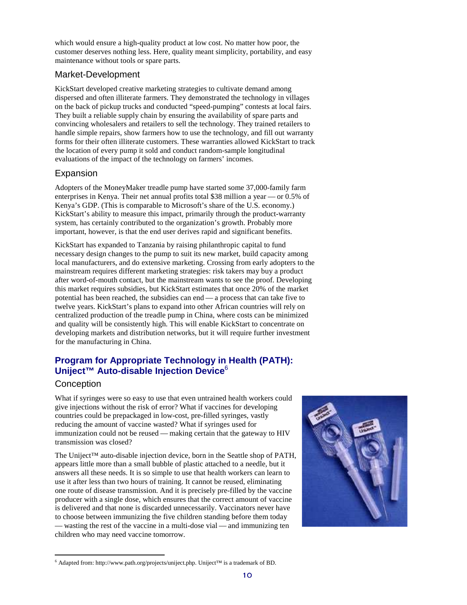which would ensure a high-quality product at low cost. No matter how poor, the customer deserves nothing less. Here, quality meant simplicity, portability, and easy maintenance without tools or spare parts.

#### Market-Development

KickStart developed creative marketing strategies to cultivate demand among dispersed and often illiterate farmers. They demonstrated the technology in villages on the back of pickup trucks and conducted "speed-pumping" contests at local fairs. They built a reliable supply chain by ensuring the availability of spare parts and convincing wholesalers and retailers to sell the technology. They trained retailers to handle simple repairs, show farmers how to use the technology, and fill out warranty forms for their often illiterate customers. These warranties allowed KickStart to track the location of every pump it sold and conduct random-sample longitudinal evaluations of the impact of the technology on farmers' incomes.

## Expansion

Adopters of the MoneyMaker treadle pump have started some 37,000-family farm enterprises in Kenya. Their net annual profits total \$38 million a year — or 0.5% of Kenya's GDP. (This is comparable to Microsoft's share of the U.S. economy.) KickStart's ability to measure this impact, primarily through the product-warranty system, has certainly contributed to the organization's growth. Probably more important, however, is that the end user derives rapid and significant benefits.

KickStart has expanded to Tanzania by raising philanthropic capital to fund necessary design changes to the pump to suit its new market, build capacity among local manufacturers, and do extensive marketing. Crossing from early adopters to the mainstream requires different marketing strategies: risk takers may buy a product after word-of-mouth contact, but the mainstream wants to see the proof. Developing this market requires subsidies, but KickStart estimates that once 20% of the market potential has been reached, the subsidies can end — a process that can take five to twelve years. KickStart's plans to expand into other African countries will rely on centralized production of the treadle pump in China, where costs can be minimized and quality will be consistently high. This will enable KickStart to concentrate on developing markets and distribution networks, but it will require further investment for the manufacturing in China.

## **Program for Appropriate Technology in Health (PATH): Uniject™ Auto-disable Injection Device**<sup>6</sup>

## **Conception**

What if syringes were so easy to use that even untrained health workers could give injections without the risk of error? What if vaccines for developing countries could be prepackaged in low-cost, pre-filled syringes, vastly reducing the amount of vaccine wasted? What if syringes used for immunization could not be reused — making certain that the gateway to HIV transmission was closed?

The Uniject<sup>™</sup> auto-disable injection device, born in the Seattle shop of PATH, appears little more than a small bubble of plastic attached to a needle, but it answers all these needs. It is so simple to use that health workers can learn to use it after less than two hours of training. It cannot be reused, eliminating one route of disease transmission. And it is precisely pre-filled by the vaccine producer with a single dose, which ensures that the correct amount of vaccine is delivered and that none is discarded unnecessarily. Vaccinators never have to choose between immunizing the five children standing before them today — wasting the rest of the vaccine in a multi-dose vial — and immunizing ten children who may need vaccine tomorrow.



<sup>6</sup> Adapted from: http://www.path.org/projects/uniject.php. Uniject™ is a trademark of BD.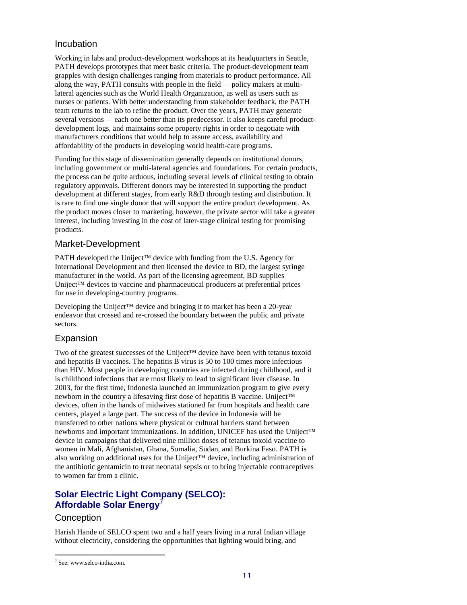#### Incubation

Working in labs and product-development workshops at its headquarters in Seattle, PATH develops prototypes that meet basic criteria. The product-development team grapples with design challenges ranging from materials to product performance. All along the way, PATH consults with people in the field — policy makers at multilateral agencies such as the World Health Organization, as well as users such as nurses or patients. With better understanding from stakeholder feedback, the PATH team returns to the lab to refine the product. Over the years, PATH may generate several versions — each one better than its predecessor. It also keeps careful productdevelopment logs, and maintains some property rights in order to negotiate with manufacturers conditions that would help to assure access, availability and affordability of the products in developing world health-care programs.

Funding for this stage of dissemination generally depends on institutional donors, including government or multi-lateral agencies and foundations. For certain products, the process can be quite arduous, including several levels of clinical testing to obtain regulatory approvals. Different donors may be interested in supporting the product development at different stages, from early R&D through testing and distribution. It is rare to find one single donor that will support the entire product development. As the product moves closer to marketing, however, the private sector will take a greater interest, including investing in the cost of later-stage clinical testing for promising products.

#### Market-Development

PATH developed the Uniject™ device with funding from the U.S. Agency for International Development and then licensed the device to BD, the largest syringe manufacturer in the world. As part of the licensing agreement, BD supplies Uniject™ devices to vaccine and pharmaceutical producers at preferential prices for use in developing-country programs.

Developing the Uniject<sup>™</sup> device and bringing it to market has been a 20-year endeavor that crossed and re-crossed the boundary between the public and private sectors.

#### Expansion

Two of the greatest successes of the Uniject™ device have been with tetanus toxoid and hepatitis B vaccines. The hepatitis B virus is 50 to 100 times more infectious than HIV. Most people in developing countries are infected during childhood, and it is childhood infections that are most likely to lead to significant liver disease. In 2003, for the first time, Indonesia launched an immunization program to give every newborn in the country a lifesaving first dose of hepatitis B vaccine. Uniject™ devices, often in the hands of midwives stationed far from hospitals and health care centers, played a large part. The success of the device in Indonesia will be transferred to other nations where physical or cultural barriers stand between newborns and important immunizations. In addition, UNICEF has used the Uniject™ device in campaigns that delivered nine million doses of tetanus toxoid vaccine to women in Mali, Afghanistan, Ghana, Somalia, Sudan, and Burkina Faso. PATH is also working on additional uses for the Uniject™ device, including administration of the antibiotic gentamicin to treat neonatal sepsis or to bring injectable contraceptives to women far from a clinic.

## **Solar Electric Light Company (SELCO): Affordable Solar Energy**

#### **Conception**

Harish Hande of SELCO spent two and a half years living in a rural Indian village without electricity, considering the opportunities that lighting would bring, and

<sup>7</sup> See: www.selco-india.com.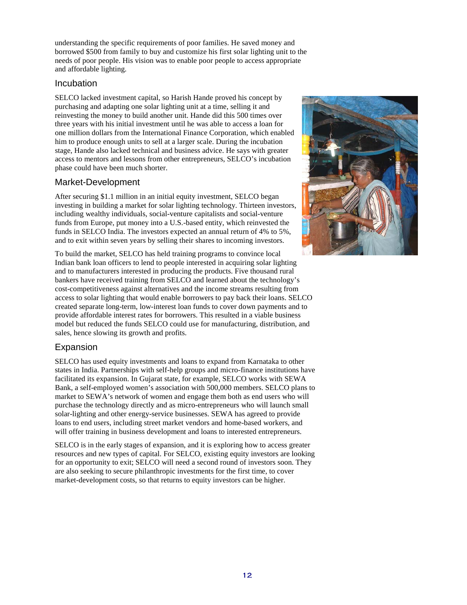understanding the specific requirements of poor families. He saved money and borrowed \$500 from family to buy and customize his first solar lighting unit to the needs of poor people. His vision was to enable poor people to access appropriate and affordable lighting.

#### **Incubation**

SELCO lacked investment capital, so Harish Hande proved his concept by purchasing and adapting one solar lighting unit at a time, selling it and reinvesting the money to build another unit. Hande did this 500 times over three years with his initial investment until he was able to access a loan for one million dollars from the International Finance Corporation, which enabled him to produce enough units to sell at a larger scale. During the incubation stage, Hande also lacked technical and business advice. He says with greater access to mentors and lessons from other entrepreneurs, SELCO's incubation phase could have been much shorter.

## Market-Development

After securing \$1.1 million in an initial equity investment, SELCO began investing in building a market for solar lighting technology. Thirteen investors, including wealthy individuals, social-venture capitalists and social-venture funds from Europe, put money into a U.S.-based entity, which reinvested the funds in SELCO India. The investors expected an annual return of 4% to 5%, and to exit within seven years by selling their shares to incoming investors.

To build the market, SELCO has held training programs to convince local Indian bank loan officers to lend to people interested in acquiring solar lighting and to manufacturers interested in producing the products. Five thousand rural bankers have received training from SELCO and learned about the technology's cost-competitiveness against alternatives and the income streams resulting from access to solar lighting that would enable borrowers to pay back their loans. SELCO created separate long-term, low-interest loan funds to cover down payments and to provide affordable interest rates for borrowers. This resulted in a viable business model but reduced the funds SELCO could use for manufacturing, distribution, and sales, hence slowing its growth and profits.

## Expansion

SELCO has used equity investments and loans to expand from Karnataka to other states in India. Partnerships with self-help groups and micro-finance institutions have facilitated its expansion. In Gujarat state, for example, SELCO works with SEWA Bank, a self-employed women's association with 500,000 members. SELCO plans to market to SEWA's network of women and engage them both as end users who will purchase the technology directly and as micro-entrepreneurs who will launch small solar-lighting and other energy-service businesses. SEWA has agreed to provide loans to end users, including street market vendors and home-based workers, and will offer training in business development and loans to interested entrepreneurs.

SELCO is in the early stages of expansion, and it is exploring how to access greater resources and new types of capital. For SELCO, existing equity investors are looking for an opportunity to exit; SELCO will need a second round of investors soon. They are also seeking to secure philanthropic investments for the first time, to cover market-development costs, so that returns to equity investors can be higher.

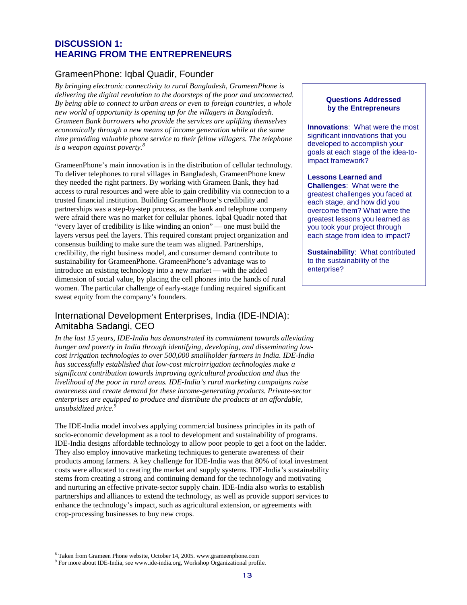### **DISCUSSION 1: HEARING FROM THE ENTREPRENEURS**

## GrameenPhone: Iqbal Quadir, Founder

*By bringing electronic connectivity to rural Bangladesh, GrameenPhone is*  delivering the digital revolution to the doorsteps of the poor and unconnected.<br>By being able to connect to urban areas or even to foreign countries, a whole<br>new world of opportunity is opening up for the villagers in Bang *Grameen Bank borrowers who provide the services are uplifting themselves*  **economically through a new means of income generation while at the same**  $\frac{1}{2}$  **<b>Innovations**: What were the most *innovations* what were the most *innovations* that you *time providing valuable phone service to their fellow villagers. The telephone is a weapon against poverty.*

GrameenPhone's main innovation is in the distribution of cellular technology. Find impact framework? To deliver telephones to rural villages in Bangladesh, GrameenPhone knew **Lessons Learned and**  they needed the right partners. By working with Grameen Bank, they had **Challenges**: What were the access to rural resources and were able to gain credibility via connection to a greatest challenges you faced at trusted financial institution. Building GrameenPhone's credibility and each stage, and how did you partnerships was a step-by-step process, as the bank and telephone company overcome them? What were the were afraid there was no market for cellular phones. Iqbal Quadir noted that greatest lessons you learned as "every layer of credibility is like winding an onion" — one must build the  $\Box$  you took your project through layers versus peel the layers. This required constant project organization and each stage from idea to impact? consensus building to make sure the team was aligned. Partnerships, credibility, the right business model, and consumer demand contribute to **Sustainability**: What contributed sustainability for GrameenPhone. GrameenPhone's advantage was to to the sustainability for GrameenPhone. GrameenPhone's advantage was to to the sustainarity of the sustainability of the sustainability of the sustainability introduce an existing technology into a new market — with the added dimension of social value, by placing the cell phones into the hands of rural women. The particular challenge of early-stage funding required significant sweat equity from the company's founders.

## International Development Enterprises, India (IDE-INDIA): Amitabha Sadangi, CEO

*In the last 15 years, IDE-India has demonstrated its commitment towards alleviating hunger and poverty in India through identifying, developing, and disseminating lowcost irrigation technologies to over 500,000 smallholder farmers in India. IDE-India has successfully established that low-cost microirrigation technologies make a significant contribution towards improving agricultural production and thus the livelihood of the poor in rural areas. IDE-India's rural marketing campaigns raise awareness and create demand for these income-generating products. Private-sector enterprises are equipped to produce and distribute the products at an affordable, unsubsidized price. 9* 

The IDE-India model involves applying commercial business principles in its path of socio-economic development as a tool to development and sustainability of programs. IDE-India designs affordable technology to allow poor people to get a foot on the ladder. They also employ innovative marketing techniques to generate awareness of their products among farmers. A key challenge for IDE-India was that 80% of total investment costs were allocated to creating the market and supply systems. IDE-India's sustainability stems from creating a strong and continuing demand for the technology and motivating and nurturing an effective private-sector supply chain. IDE-India also works to establish partnerships and alliances to extend the technology, as well as provide support services to enhance the technology's impact, such as agricultural extension, or agreements with crop-processing businesses to buy new crops.

developed to accomplish your goals at each stage of the idea-to-

<sup>&</sup>lt;sup>8</sup> Taken from Grameen Phone website, October 14, 2005. www.grameenphone.com <sup>9</sup> For more about IDE-India, see www.ide-india.org, Workshop Organizational profile.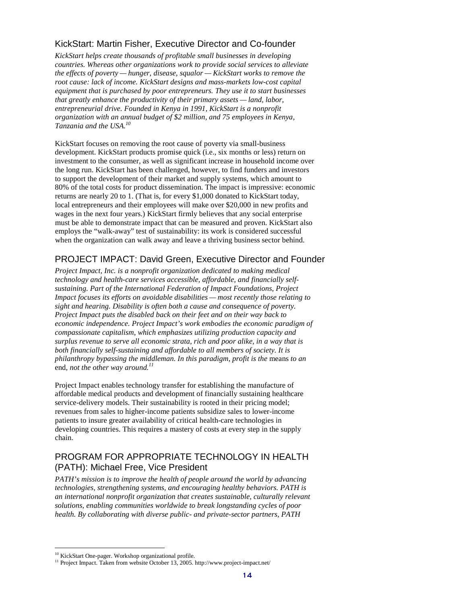## KickStart: Martin Fisher, Executive Director and Co-founder

*KickStart helps create thousands of profitable small businesses in developing countries. Whereas other organizations work to provide social services to alleviate the effects of poverty — hunger, disease, squalor — KickStart works to remove the root cause: lack of income. KickStart designs and mass-markets low-cost capital equipment that is purchased by poor entrepreneurs. They use it to start businesses that greatly enhance the productivity of their primary assets — land, labor, entrepreneurial drive. Founded in Kenya in 1991, KickStart is a nonprofit organization with an annual budget of \$2 million, and 75 employees in Kenya, Tanzania and the USA. 10* 

KickStart focuses on removing the root cause of poverty via small-business development. KickStart products promise quick (i.e., six months or less) return on investment to the consumer, as well as significant increase in household income over the long run. KickStart has been challenged, however, to find funders and investors to support the development of their market and supply systems, which amount to 80% of the total costs for product dissemination. The impact is impressive: economic returns are nearly 20 to 1. (That is, for every \$1,000 donated to KickStart today, local entrepreneurs and their employees will make over \$20,000 in new profits and wages in the next four years.) KickStart firmly believes that any social enterprise must be able to demonstrate impact that can be measured and proven. KickStart also employs the "walk-away" test of sustainability: its work is considered successful when the organization can walk away and leave a thriving business sector behind.

## PROJECT IMPACT: David Green, Executive Director and Founder

*Project Impact, Inc. is a nonprofit organization dedicated to making medical technology and health-care services accessible, affordable, and financially selfsustaining. Part of the International Federation of Impact Foundations, Project Impact focuses its efforts on avoidable disabilities — most recently those relating to sight and hearing. Disability is often both a cause and consequence of poverty. Project Impact puts the disabled back on their feet and on their way back to economic independence. Project Impact's work embodies the economic paradigm of compassionate capitalism, which emphasizes utilizing production capacity and surplus revenue to serve all economic strata, rich and poor alike, in a way that is both financially self-sustaining and affordable to all members of society. It is philanthropy bypassing the middleman. In this paradigm, profit is the* means *to an*  end*, not the other way around. 11* 

Project Impact enables technology transfer for establishing the manufacture of affordable medical products and development of financially sustaining healthcare service-delivery models. Their sustainability is rooted in their pricing model; revenues from sales to higher-income patients subsidize sales to lower-income patients to insure greater availability of critical health-care technologies in developing countries. This requires a mastery of costs at every step in the supply chain.

## PROGRAM FOR APPROPRIATE TECHNOLOGY IN HEALTH (PATH): Michael Free, Vice President

*PATH's mission is to improve the health of people around the world by advancing technologies, strengthening systems, and encouraging healthy behaviors. PATH is an international nonprofit organization that creates sustainable, culturally relevant solutions, enabling communities worldwide to break longstanding cycles of poor health. By collaborating with diverse public- and private-sector partners, PATH* 

<sup>&</sup>lt;sup>10</sup> KickStart One-pager. Workshop organizational profile.

<sup>&</sup>lt;sup>11</sup> Project Impact. Taken from website October 13, 2005. http://www.project-impact.net/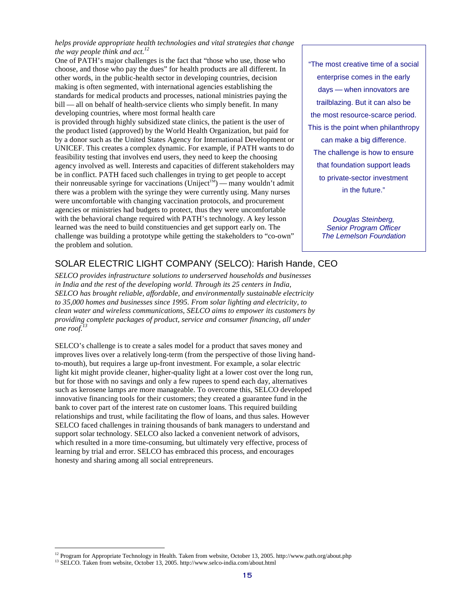*helps provide appropriate health technologies and vital strategies that change the way people think and act. 12* 

One of PATH's major challenges is the fact that "those who use, those who "The most creative time of a social choose, and those who pay the dues" for health products are all different. In other words, in the public-health sector in developing countries, decision enterprise comes in the early making is often segmented, with international agencies establishing the days — when innovators are standards for medical products and processes, national ministries paying the bill — all on behalf of health-service clients who simply benefit. In many trailblazing. But it can also be

developing countries, where most formal health care<br>is provided through highly subsidized state clinics, the patient is the user of<br>the most resource-scarce period.<br>This is the point when philanthropy the product listed (approved) by the World Health Organization, but paid for by a donor such as the United States Agency for International Development or can make a big difference. UNICEF. This creates a complex dynamic. For example, if PATH wants to do The challenge is how to ensure feasibility testing that involves end users, they need to keep the choosing agency involved as well. Interests and capacities of different stakeholders may that foundation support leads be in conflict. PATH faced such challenges in trying to get people to accept to private-sector investment their nonreusable syringe for vaccinations (Uniject<sup>™</sup>) — many wouldn't admit there was a problem with the syringe they were currently using. Many nurses in the future." were uncomfortable with changing vaccination protocols, and procurement agencies or ministries had budgets to protect, thus they were uncomfortable with the behavioral change required with PATH's technology. A key lesson Douglas Steinberg, learned was the need to build constituencies and get support early on. The Senior Program Officer challenge was building a prototype while getting the stakeholders to "co-own" The Lemelson Foundation the problem and solution.

## SOLAR ELECTRIC LIGHT COMPANY (SELCO): Harish Hande, CEO

*SELCO provides infrastructure solutions to underserved households and businesses in India and the rest of the developing world. Through its 25 centers in India, SELCO has brought reliable, affordable, and environmentally sustainable electricity to 35,000 homes and businesses since 1995. From solar lighting and electricity, to clean water and wireless communications, SELCO aims to empower its customers by providing complete packages of product, service and consumer financing, all under one roof. 13* 

SELCO's challenge is to create a sales model for a product that saves money and improves lives over a relatively long-term (from the perspective of those living handto-mouth), but requires a large up-front investment. For example, a solar electric light kit might provide cleaner, higher-quality light at a lower cost over the long run, but for those with no savings and only a few rupees to spend each day, alternatives such as kerosene lamps are more manageable. To overcome this, SELCO developed innovative financing tools for their customers; they created a guarantee fund in the bank to cover part of the interest rate on customer loans. This required building relationships and trust, while facilitating the flow of loans, and thus sales. However SELCO faced challenges in training thousands of bank managers to understand and support solar technology. SELCO also lacked a convenient network of advisors, which resulted in a more time-consuming, but ultimately very effective, process of learning by trial and error. SELCO has embraced this process, and encourages honesty and sharing among all social entrepreneurs.

<sup>&</sup>lt;sup>12</sup> Program for Appropriate Technology in Health. Taken from website, October 13, 2005. http://www.path.org/about.php <sup>13</sup> SELCO. Taken from website, October 13, 2005. http://www.selco-india.com/about.html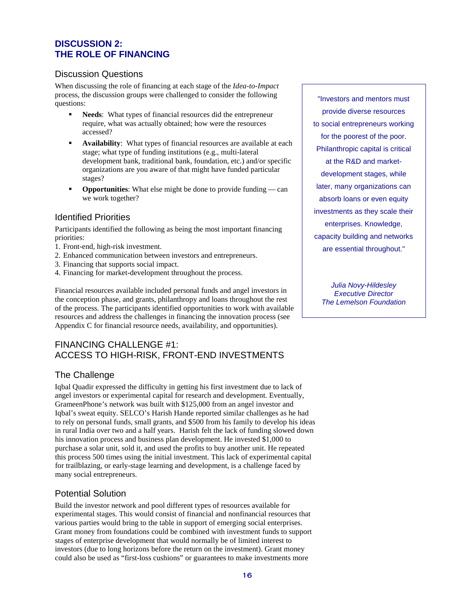## **DISCUSSION 2: THE ROLE OF FINANCING**

#### Discussion Questions

When discussing the role of financing at each stage of the *Idea-to-Impact*  process, the discussion groups were challenged to consider the following "Investors and mentors must questions:

- **Needs**: What types of financial resources did the entrepreneur provide diverse resources require, what was actually obtained; how were the resources to social entrepreneurs working<br>accessed?
- **accessed? for the poorest of the poorest of the poorest of the poorest of the poorest of the poorest of the poorest of the poorest of the poorest of the poorest of the poorest of the poorest of funding institutions (e.g** stage; what type of funding institutions (e.g., multi-lateral development bank, traditional bank, foundation, etc.) and/or specific  $\overline{a}$  at the R&D and marketorganizations are you aware of that might have funded particular development stages, while stages?
- **Opportunities**: What else might be done to provide funding can later, many organizations can we work together? The contract of the contract of the contract of the contract of the contract of the contract of the contract of the contract of the contract of the contract of the contract of the contract of the contract

Participants identified the following as being the most important financing priorities: **capacity building and networks** 

- 1. Front-end, high-risk investment. The same second is a second and series are essential throughout."
- 2. Enhanced communication between investors and entrepreneurs.
- 3. Financing that supports social impact.
- 4. Financing for market-development throughout the process.

Julia Novy-Hildesley Financial resources available included personal funds and angel investors in Executive Director the conception phase, and grants, philanthropy and loans throughout the rest The Lemelson Foundation of the process. The participants identified opportunities to work with available resources and address the challenges in financing the innovation process (see Appendix C for financial resource needs, availability, and opportunities).

## FINANCING CHALLENGE #1: ACCESS TO HIGH-RISK, FRONT-END INVESTMENTS

## The Challenge

Iqbal Quadir expressed the difficulty in getting his first investment due to lack of angel investors or experimental capital for research and development. Eventually, GrameenPhone's network was built with \$125,000 from an angel investor and Iqbal's sweat equity. SELCO's Harish Hande reported similar challenges as he had to rely on personal funds, small grants, and \$500 from his family to develop his ideas in rural India over two and a half years. Harish felt the lack of funding slowed down his innovation process and business plan development. He invested \$1,000 to purchase a solar unit, sold it, and used the profits to buy another unit. He repeated this process 500 times using the initial investment. This lack of experimental capital for trailblazing, or early-stage learning and development, is a challenge faced by many social entrepreneurs.

## Potential Solution

Build the investor network and pool different types of resources available for experimental stages. This would consist of financial and nonfinancial resources that various parties would bring to the table in support of emerging social enterprises. Grant money from foundations could be combined with investment funds to support stages of enterprise development that would normally be of limited interest to investors (due to long horizons before the return on the investment). Grant money could also be used as "first-loss cushions" or guarantees to make investments more

Identified Priorities<br>
Investments as they scale their<br>
Investments as they scale their<br>
Investments as they scale their<br>
Investments as they scale their<br>
Investments as they scale their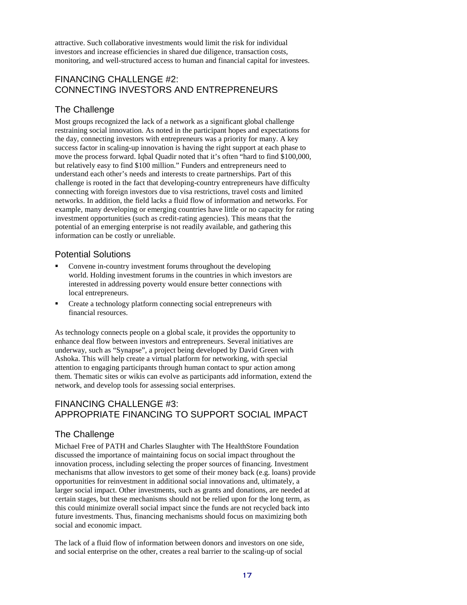attractive. Such collaborative investments would limit the risk for individual investors and increase efficiencies in shared due diligence, transaction costs, monitoring, and well-structured access to human and financial capital for investees.

## FINANCING CHALLENGE #2: CONNECTING INVESTORS AND ENTREPRENEURS

## The Challenge

Most groups recognized the lack of a network as a significant global challenge restraining social innovation. As noted in the participant hopes and expectations for the day, connecting investors with entrepreneurs was a priority for many. A key success factor in scaling-up innovation is having the right support at each phase to move the process forward. Iqbal Quadir noted that it's often "hard to find \$100,000, but relatively easy to find \$100 million." Funders and entrepreneurs need to understand each other's needs and interests to create partnerships. Part of this challenge is rooted in the fact that developing-country entrepreneurs have difficulty connecting with foreign investors due to visa restrictions, travel costs and limited networks. In addition, the field lacks a fluid flow of information and networks. For example, many developing or emerging countries have little or no capacity for rating investment opportunities (such as credit-rating agencies). This means that the potential of an emerging enterprise is not readily available, and gathering this information can be costly or unreliable.

#### Potential Solutions

- Convene in-country investment forums throughout the developing world. Holding investment forums in the countries in which investors are interested in addressing poverty would ensure better connections with local entrepreneurs.
- Create a technology platform connecting social entrepreneurs with financial resources.

As technology connects people on a global scale, it provides the opportunity to enhance deal flow between investors and entrepreneurs. Several initiatives are underway, such as "Synapse", a project being developed by David Green with Ashoka. This will help create a virtual platform for networking, with special attention to engaging participants through human contact to spur action among them. Thematic sites or wikis can evolve as participants add information, extend the network, and develop tools for assessing social enterprises.

## FINANCING CHALLENGE #3: APPROPRIATE FINANCING TO SUPPORT SOCIAL IMPACT

## The Challenge

Michael Free of PATH and Charles Slaughter with The HealthStore Foundation discussed the importance of maintaining focus on social impact throughout the innovation process, including selecting the proper sources of financing. Investment mechanisms that allow investors to get some of their money back (e.g. loans) provide opportunities for reinvestment in additional social innovations and, ultimately, a larger social impact. Other investments, such as grants and donations, are needed at certain stages, but these mechanisms should not be relied upon for the long term, as this could minimize overall social impact since the funds are not recycled back into future investments. Thus, financing mechanisms should focus on maximizing both social and economic impact.

The lack of a fluid flow of information between donors and investors on one side, and social enterprise on the other, creates a real barrier to the scaling-up of social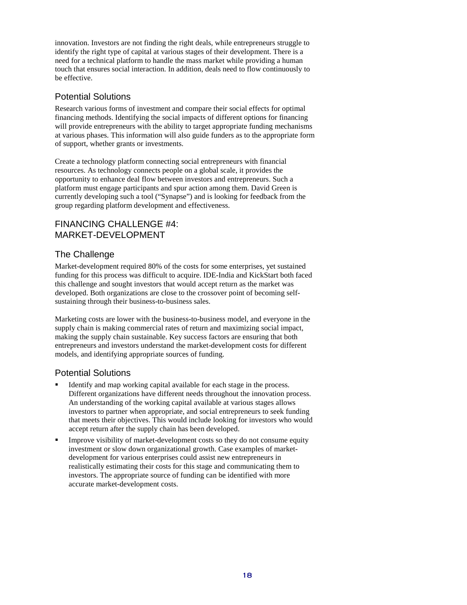innovation. Investors are not finding the right deals, while entrepreneurs struggle to identify the right type of capital at various stages of their development. There is a need for a technical platform to handle the mass market while providing a human touch that ensures social interaction. In addition, deals need to flow continuously to be effective.

## Potential Solutions

Research various forms of investment and compare their social effects for optimal financing methods. Identifying the social impacts of different options for financing will provide entrepreneurs with the ability to target appropriate funding mechanisms at various phases. This information will also guide funders as to the appropriate form of support, whether grants or investments.

Create a technology platform connecting social entrepreneurs with financial resources. As technology connects people on a global scale, it provides the opportunity to enhance deal flow between investors and entrepreneurs. Such a platform must engage participants and spur action among them. David Green is currently developing such a tool ("Synapse") and is looking for feedback from the group regarding platform development and effectiveness.

## FINANCING CHALLENGE #4: MARKET-DEVELOPMENT

#### The Challenge

Market-development required 80% of the costs for some enterprises, yet sustained funding for this process was difficult to acquire. IDE-India and KickStart both faced this challenge and sought investors that would accept return as the market was developed. Both organizations are close to the crossover point of becoming selfsustaining through their business-to-business sales.

Marketing costs are lower with the business-to-business model, and everyone in the supply chain is making commercial rates of return and maximizing social impact, making the supply chain sustainable. Key success factors are ensuring that both entrepreneurs and investors understand the market-development costs for different models, and identifying appropriate sources of funding.

#### Potential Solutions

- Identify and map working capital available for each stage in the process. Different organizations have different needs throughout the innovation process. An understanding of the working capital available at various stages allows investors to partner when appropriate, and social entrepreneurs to seek funding that meets their objectives. This would include looking for investors who would accept return after the supply chain has been developed.
- Improve visibility of market-development costs so they do not consume equity investment or slow down organizational growth. Case examples of marketdevelopment for various enterprises could assist new entrepreneurs in realistically estimating their costs for this stage and communicating them to investors. The appropriate source of funding can be identified with more accurate market-development costs.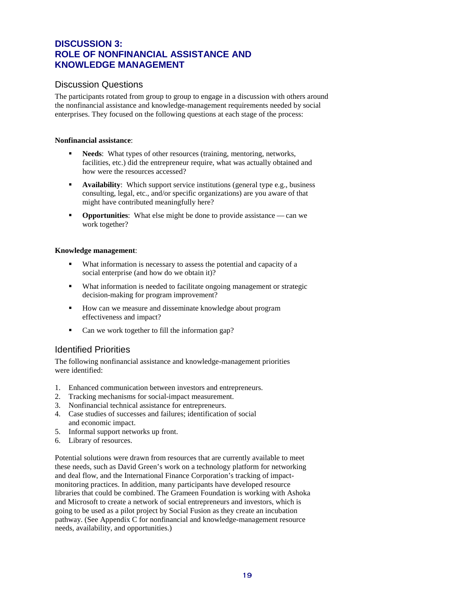## **DISCUSSION 3: ROLE OF NONFINANCIAL ASSISTANCE AND KNOWLEDGE MANAGEMENT**

#### Discussion Questions

The participants rotated from group to group to engage in a discussion with others around the nonfinancial assistance and knowledge-management requirements needed by social enterprises. They focused on the following questions at each stage of the process:

#### **Nonfinancial assistance**:

- **Needs**: What types of other resources (training, mentoring, networks, facilities, etc.) did the entrepreneur require, what was actually obtained and how were the resources accessed?
- **Availability**: Which support service institutions (general type e.g., business consulting, legal, etc., and/or specific organizations) are you aware of that might have contributed meaningfully here?
- **Opportunities**: What else might be done to provide assistance can we work together?

#### **Knowledge management**:

- What information is necessary to assess the potential and capacity of a social enterprise (and how do we obtain it)?
- What information is needed to facilitate ongoing management or strategic decision-making for program improvement?
- How can we measure and disseminate knowledge about program effectiveness and impact?
- Can we work together to fill the information gap?

## Identified Priorities

The following nonfinancial assistance and knowledge-management priorities were identified:

- 1. Enhanced communication between investors and entrepreneurs.
- 2. Tracking mechanisms for social-impact measurement.
- 3. Nonfinancial technical assistance for entrepreneurs.
- 4. Case studies of successes and failures; identification of social and economic impact.
- 5. Informal support networks up front.
- 6. Library of resources.

Potential solutions were drawn from resources that are currently available to meet these needs, such as David Green's work on a technology platform for networking and deal flow, and the International Finance Corporation's tracking of impactmonitoring practices. In addition, many participants have developed resource libraries that could be combined. The Grameen Foundation is working with Ashoka and Microsoft to create a network of social entrepreneurs and investors, which is going to be used as a pilot project by Social Fusion as they create an incubation pathway. (See Appendix C for nonfinancial and knowledge-management resource needs, availability, and opportunities.)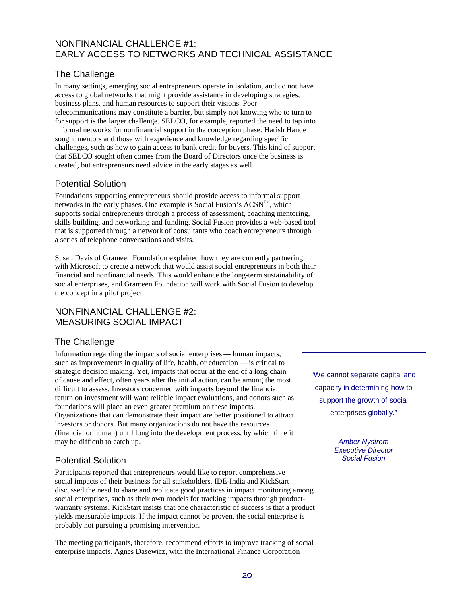## NONFINANCIAL CHALLENGE #1: EARLY ACCESS TO NETWORKS AND TECHNICAL ASSISTANCE

### The Challenge

In many settings, emerging social entrepreneurs operate in isolation, and do not have access to global networks that might provide assistance in developing strategies, business plans, and human resources to support their visions. Poor telecommunications may constitute a barrier, but simply not knowing who to turn to for support is the larger challenge. SELCO, for example, reported the need to tap into informal networks for nonfinancial support in the conception phase. Harish Hande sought mentors and those with experience and knowledge regarding specific challenges, such as how to gain access to bank credit for buyers. This kind of support that SELCO sought often comes from the Board of Directors once the business is created, but entrepreneurs need advice in the early stages as well.

## Potential Solution

Foundations supporting entrepreneurs should provide access to informal support networks in the early phases. One example is Social Fusion's  $ACSN^{TM}$ , which supports social entrepreneurs through a process of assessment, coaching mentoring, skills building, and networking and funding. Social Fusion provides a web-based tool that is supported through a network of consultants who coach entrepreneurs through a series of telephone conversations and visits.

Susan Davis of Grameen Foundation explained how they are currently partnering with Microsoft to create a network that would assist social entrepreneurs in both their financial and nonfinancial needs. This would enhance the long-term sustainability of social enterprises, and Grameen Foundation will work with Social Fusion to develop the concept in a pilot project.

## NONFINANCIAL CHALLENGE #2: MEASURING SOCIAL IMPACT

## The Challenge

Information regarding the impacts of social enterprises — human impacts, such as improvements in quality of life, health, or education — is critical to strategic decision making. Yet, impacts that occur at the end of a long chain of cause and effect, often years after the initial action, can be among the most<br>difficult to assess Investors concerned with impacts beyond the financial capacity in determining how to difficult to assess. Investors concerned with impacts beyond the financial return on investment will want reliable impact evaluations, and donors such as support the growth of social foundations will place an even greater premium on these impacts. Organizations that can demonstrate their impact are better positioned to attract enterprises globally." investors or donors. But many organizations do not have the resources (financial or human) until long into the development process, by which time it may be difficult to catch up.  $\blacksquare$ 

## Potential Solution and Social Fusion Social Fusion

Participants reported that entrepreneurs would like to report comprehensive social impacts of their business for all stakeholders. IDE-India and KickStart discussed the need to share and replicate good practices in impact monitoring among social enterprises, such as their own models for tracking impacts through productwarranty systems. KickStart insists that one characteristic of success is that a product yields measurable impacts. If the impact cannot be proven, the social enterprise is probably not pursuing a promising intervention.

The meeting participants, therefore, recommend efforts to improve tracking of social enterprise impacts. Agnes Dasewicz, with the International Finance Corporation

Executive Director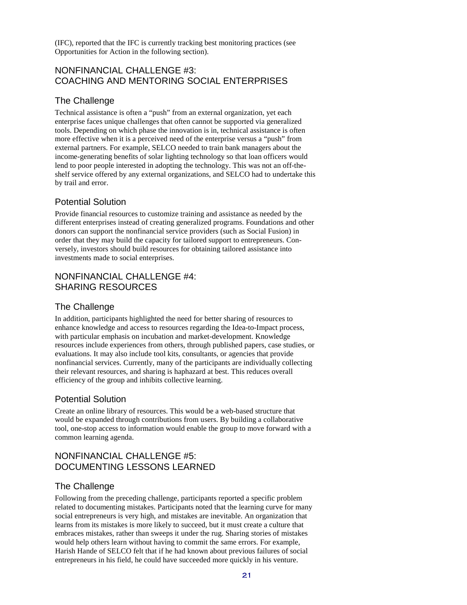(IFC), reported that the IFC is currently tracking best monitoring practices (see Opportunities for Action in the following section).

#### NONFINANCIAL CHALLENGE #3: COACHING AND MENTORING SOCIAL ENTERPRISES

### The Challenge

Technical assistance is often a "push" from an external organization, yet each enterprise faces unique challenges that often cannot be supported via generalized tools. Depending on which phase the innovation is in, technical assistance is often more effective when it is a perceived need of the enterprise versus a "push" from external partners. For example, SELCO needed to train bank managers about the income-generating benefits of solar lighting technology so that loan officers would lend to poor people interested in adopting the technology. This was not an off-theshelf service offered by any external organizations, and SELCO had to undertake this by trail and error.

## Potential Solution

Provide financial resources to customize training and assistance as needed by the different enterprises instead of creating generalized programs. Foundations and other donors can support the nonfinancial service providers (such as Social Fusion) in order that they may build the capacity for tailored support to entrepreneurs. Conversely, investors should build resources for obtaining tailored assistance into investments made to social enterprises.

## NONFINANCIAL CHALLENGE #4: SHARING RESOURCES

## The Challenge

In addition, participants highlighted the need for better sharing of resources to enhance knowledge and access to resources regarding the Idea-to-Impact process, with particular emphasis on incubation and market-development. Knowledge resources include experiences from others, through published papers, case studies, or evaluations. It may also include tool kits, consultants, or agencies that provide nonfinancial services. Currently, many of the participants are individually collecting their relevant resources, and sharing is haphazard at best. This reduces overall efficiency of the group and inhibits collective learning.

## Potential Solution

Create an online library of resources. This would be a web-based structure that would be expanded through contributions from users. By building a collaborative tool, one-stop access to information would enable the group to move forward with a common learning agenda.

## NONFINANCIAL CHALLENGE #5: DOCUMENTING LESSONS LEARNED

## The Challenge

Following from the preceding challenge, participants reported a specific problem related to documenting mistakes. Participants noted that the learning curve for many social entrepreneurs is very high, and mistakes are inevitable. An organization that learns from its mistakes is more likely to succeed, but it must create a culture that embraces mistakes, rather than sweeps it under the rug. Sharing stories of mistakes would help others learn without having to commit the same errors. For example, Harish Hande of SELCO felt that if he had known about previous failures of social entrepreneurs in his field, he could have succeeded more quickly in his venture.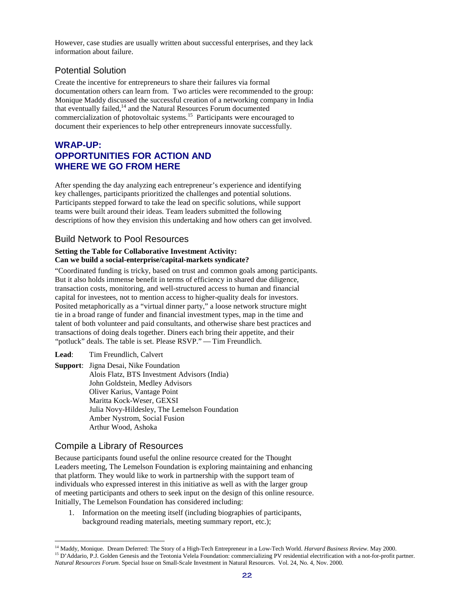However, case studies are usually written about successful enterprises, and they lack information about failure.

#### Potential Solution

Create the incentive for entrepreneurs to share their failures via formal documentation others can learn from. Two articles were recommended to the group: Monique Maddy discussed the successful creation of a networking company in India that eventually failed,<sup>14</sup> and the Natural Resources Forum documented commercialization of photovoltaic systems. 15 Participants were encouraged to document their experiences to help other entrepreneurs innovate successfully.

## **WRAP-UP: OPPORTUNITIES FOR ACTION AND WHERE WE GO FROM HERE**

After spending the day analyzing each entrepreneur's experience and identifying key challenges, participants prioritized the challenges and potential solutions. Participants stepped forward to take the lead on specific solutions, while support teams were built around their ideas. Team leaders submitted the following descriptions of how they envision this undertaking and how others can get involved.

#### Build Network to Pool Resources

#### **Setting the Table for Collaborative Investment Activity: Can we build a social-enterprise/capital-markets syndicate?**

"Coordinated funding is tricky, based on trust and common goals among participants. But it also holds immense benefit in terms of efficiency in shared due diligence, transaction costs, monitoring, and well-structured access to human and financial capital for investees, not to mention access to higher-quality deals for investors. Posited metaphorically as a "virtual dinner party," a loose network structure might tie in a broad range of funder and financial investment types, map in the time and talent of both volunteer and paid consultants, and otherwise share best practices and transactions of doing deals together. Diners each bring their appetite, and their "potluck" deals. The table is set. Please RSVP." — Tim Freundlich.

#### **Lead**: Tim Freundlich, Calvert

**Support**: Jigna Desai, Nike Foundation Alois Flatz, BTS Investment Advisors (India) John Goldstein, Medley Advisors Oliver Karius, Vantage Point Maritta Kock-Weser, GEXSI Julia Novy-Hildesley, The Lemelson Foundation Amber Nystrom, Social Fusion Arthur Wood, Ashoka

#### Compile a Library of Resources

Because participants found useful the online resource created for the Thought Leaders meeting, The Lemelson Foundation is exploring maintaining and enhancing that platform. They would like to work in partnership with the support team of individuals who expressed interest in this initiative as well as with the larger group of meeting participants and others to seek input on the design of this online resource. Initially, The Lemelson Foundation has considered including:

1. Information on the meeting itself (including biographies of participants, background reading materials, meeting summary report, etc.);

<sup>&</sup>lt;sup>14</sup> Maddy, Monique. Dream Deferred: The Story of a High-Tech Entrepreneur in a Low-Tech World. *Harvard Business Review*. May 2000.<br><sup>15</sup> D'Addario, P.J. Golden Genesis and the Teotonia Velela Foundation: commercializing *Natural Resources Forum*. Special Issue on Small-Scale Investment in Natural Resources. Vol. 24, No. 4, Nov. 2000.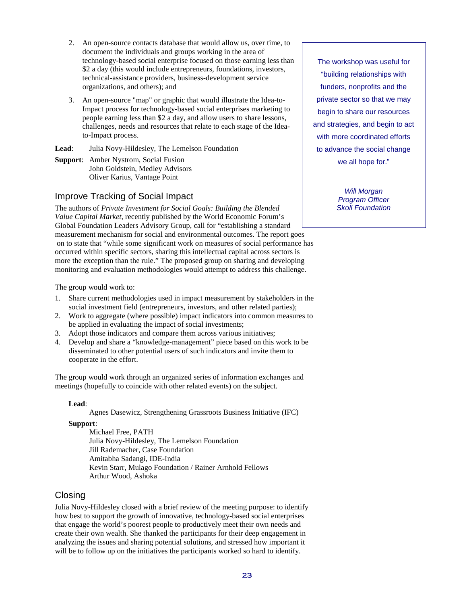- 2. An open-source contacts database that would allow us, over time, to document the individuals and groups working in the area of technology-based social enterprise focused on those earning less than \$2 a day (this would include entrepreneurs, foundations, investors, technical-assistance providers, business-development service organizations, and others); and
- 3. An open-source "map" or graphic that would illustrate the Idea-to-Impact process for technology-based social enterprises marketing to people earning less than \$2 a day, and allow users to share lessons, challenges, needs and resources that relate to each stage of the Ideato-Impact process.

**Lead**: Julia Novy-Hildesley, The Lemelson Foundation

**Support**: Amber Nystrom, Social Fusion John Goldstein, Medley Advisors Oliver Karius, Vantage Point

#### Improve Tracking of Social Impact

The authors of *Private Investment for Social Goals: Building the Blended Value Capital Market*, recently published by the World Economic Forum's Global Foundation Leaders Advisory Group, call for "establishing a standard measurement mechanism for social and environmental outcomes. The report goes on to state that "while some significant work on measures of social performance has occurred within specific sectors, sharing this intellectual capital across sectors is more the exception than the rule." The proposed group on sharing and developing monitoring and evaluation methodologies would attempt to address this challenge.

The group would work to:

- 1. Share current methodologies used in impact measurement by stakeholders in the social investment field (entrepreneurs, investors, and other related parties);
- 2. Work to aggregate (where possible) impact indicators into common measures to be applied in evaluating the impact of social investments;
- 3. Adopt those indicators and compare them across various initiatives;
- 4. Develop and share a "knowledge-management" piece based on this work to be disseminated to other potential users of such indicators and invite them to cooperate in the effort.

The group would work through an organized series of information exchanges and meetings (hopefully to coincide with other related events) on the subject.

#### **Lead**:

Agnes Dasewicz, Strengthening Grassroots Business Initiative (IFC)

#### **Support**:

Michael Free, PATH Julia Novy-Hildesley, The Lemelson Foundation Jill Rademacher, Case Foundation Amitabha Sadangi, IDE-India Kevin Starr, Mulago Foundation / Rainer Arnhold Fellows Arthur Wood, Ashoka

#### Closing

Julia Novy-Hildesley closed with a brief review of the meeting purpose: to identify how best to support the growth of innovative, technology-based social enterprises that engage the world's poorest people to productively meet their own needs and create their own wealth. She thanked the participants for their deep engagement in analyzing the issues and sharing potential solutions, and stressed how important it will be to follow up on the initiatives the participants worked so hard to identify.

The workshop was useful for "building relationships with funders, nonprofits and the private sector so that we may begin to share our resources and strategies, and begin to act with more coordinated efforts to advance the social change we all hope for."

Will Morgan Program Officer Skoll Foundation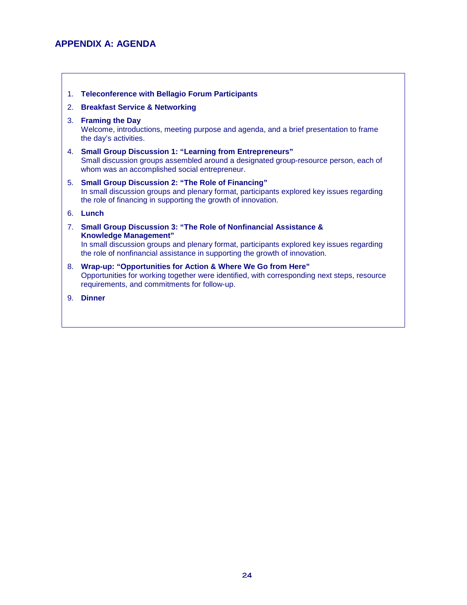## **APPENDIX A: AGENDA**

- 1. **Teleconference with Bellagio Forum Participants**
- 2. **Breakfast Service & Networking**

#### 3. **Framing the Day**

Welcome, introductions, meeting purpose and agenda, and a brief presentation to frame the day's activities.

- 4. **Small Group Discussion 1: "Learning from Entrepreneurs"**  Small discussion groups assembled around a designated group-resource person, each of whom was an accomplished social entrepreneur.
- 5. **Small Group Discussion 2: "The Role of Financing"**  In small discussion groups and plenary format, participants explored key issues regarding the role of financing in supporting the growth of innovation.
- 6. **Lunch**
- 7. **Small Group Discussion 3: "The Role of Nonfinancial Assistance & Knowledge Management"**  In small discussion groups and plenary format, participants explored key issues regarding the role of nonfinancial assistance in supporting the growth of innovation.
- 8. **Wrap-up: "Opportunities for Action & Where We Go from Here"**  Opportunities for working together were identified, with corresponding next steps, resource requirements, and commitments for follow-up.
- 9. **Dinner**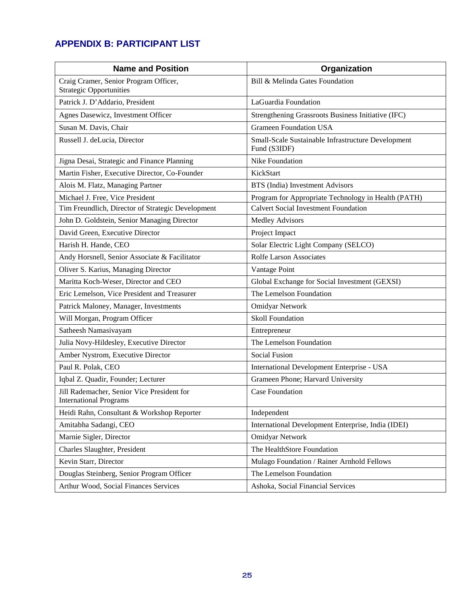## **APPENDIX B: PARTICIPANT LIST**

| <b>Name and Position</b>                                                    | Organization                                                       |  |  |
|-----------------------------------------------------------------------------|--------------------------------------------------------------------|--|--|
| Craig Cramer, Senior Program Officer,<br><b>Strategic Opportunities</b>     | Bill & Melinda Gates Foundation                                    |  |  |
| Patrick J. D'Addario, President                                             | LaGuardia Foundation                                               |  |  |
| Agnes Dasewicz, Investment Officer                                          | Strengthening Grassroots Business Initiative (IFC)                 |  |  |
| Susan M. Davis, Chair                                                       | <b>Grameen Foundation USA</b>                                      |  |  |
| Russell J. deLucia, Director                                                | Small-Scale Sustainable Infrastructure Development<br>Fund (S3IDF) |  |  |
| Jigna Desai, Strategic and Finance Planning                                 | Nike Foundation                                                    |  |  |
| Martin Fisher, Executive Director, Co-Founder                               | KickStart                                                          |  |  |
| Alois M. Flatz, Managing Partner                                            | BTS (India) Investment Advisors                                    |  |  |
| Michael J. Free, Vice President                                             | Program for Appropriate Technology in Health (PATH)                |  |  |
| Tim Freundlich, Director of Strategic Development                           | <b>Calvert Social Investment Foundation</b>                        |  |  |
| John D. Goldstein, Senior Managing Director                                 | <b>Medley Advisors</b>                                             |  |  |
| David Green, Executive Director                                             | Project Impact                                                     |  |  |
| Harish H. Hande, CEO                                                        | Solar Electric Light Company (SELCO)                               |  |  |
| Andy Horsnell, Senior Associate & Facilitator                               | Rolfe Larson Associates                                            |  |  |
| Oliver S. Karius, Managing Director                                         | Vantage Point                                                      |  |  |
| Maritta Koch-Weser, Director and CEO                                        | Global Exchange for Social Investment (GEXSI)                      |  |  |
| Eric Lemelson, Vice President and Treasurer                                 | The Lemelson Foundation                                            |  |  |
| Patrick Maloney, Manager, Investments                                       | <b>Omidyar Network</b>                                             |  |  |
| Will Morgan, Program Officer                                                | <b>Skoll Foundation</b>                                            |  |  |
| Satheesh Namasivayam                                                        | Entrepreneur                                                       |  |  |
| Julia Novy-Hildesley, Executive Director                                    | The Lemelson Foundation                                            |  |  |
| Amber Nystrom, Executive Director                                           | <b>Social Fusion</b>                                               |  |  |
| Paul R. Polak, CEO                                                          | International Development Enterprise - USA                         |  |  |
| Iqbal Z. Quadir, Founder; Lecturer                                          | Grameen Phone; Harvard University                                  |  |  |
| Jill Rademacher, Senior Vice President for<br><b>International Programs</b> | <b>Case Foundation</b>                                             |  |  |
| Heidi Rahn, Consultant & Workshop Reporter                                  | Independent                                                        |  |  |
| Amitabha Sadangi, CEO                                                       | International Development Enterprise, India (IDEI)                 |  |  |
| Marnie Sigler, Director                                                     | <b>Omidyar Network</b>                                             |  |  |
| Charles Slaughter, President                                                | The HealthStore Foundation                                         |  |  |
| Kevin Starr, Director                                                       | Mulago Foundation / Rainer Arnhold Fellows                         |  |  |
| Douglas Steinberg, Senior Program Officer                                   | The Lemelson Foundation                                            |  |  |
| Arthur Wood, Social Finances Services                                       | Ashoka, Social Financial Services                                  |  |  |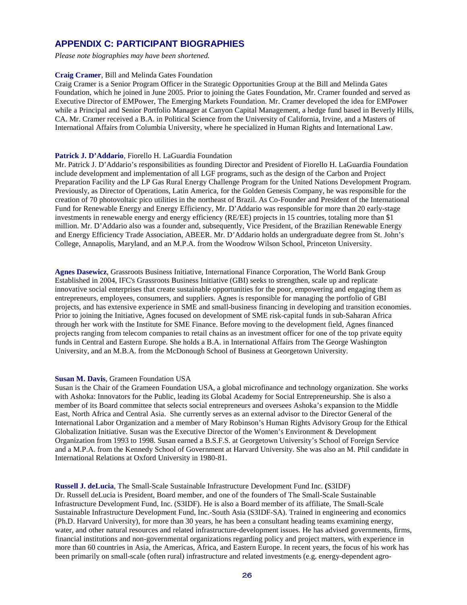### **APPENDIX C: PARTICIPANT BIOGRAPHIES**

*Please note biographies may have been shortened.* 

#### **Craig Cramer**, Bill and Melinda Gates Foundation

Craig Cramer is a Senior Program Officer in the Strategic Opportunities Group at the Bill and Melinda Gates Foundation, which he joined in June 2005. Prior to joining the Gates Foundation, Mr. Cramer founded and served as Executive Director of EMPower, The Emerging Markets Foundation. Mr. Cramer developed the idea for EMPower while a Principal and Senior Portfolio Manager at Canyon Capital Management, a hedge fund based in Beverly Hills, CA. Mr. Cramer received a B.A. in Political Science from the University of California, Irvine, and a Masters of International Affairs from Columbia University, where he specialized in Human Rights and International Law.

#### Patrick J. D'Addario, Fiorello H. LaGuardia Foundation

Mr. Patrick J. D'Addario's responsibilities as founding Director and President of Fiorello H. LaGuardia Foundation include development and implementation of all LGF programs, such as the design of the Carbon and Project Preparation Facility and the LP Gas Rural Energy Challenge Program for the United Nations Development Program. Previously, as Director of Operations, Latin America, for the Golden Genesis Company, he was responsible for the creation of 70 photovoltaic pico utilities in the northeast of Brazil. As Co-Founder and President of the International Fund for Renewable Energy and Energy Efficiency, Mr. D'Addario was responsible for more than 20 early-stage investments in renewable energy and energy efficiency (RE/EE) projects in 15 countries, totaling more than \$1 million. Mr. D'Addario also was a founder and, subsequently, Vice President, of the Brazilian Renewable Energy and Energy Efficiency Trade Association, ABEER. Mr. D'Addario holds an undergraduate degree from St. John's College, Annapolis, Maryland, and an M.P.A. from the Woodrow Wilson School, Princeton University.

**Agnes Dasewicz**, Grassroots Business Initiative, International Finance Corporation, The World Bank Group Established in 2004, IFC's Grassroots Business Initiative (GBI) seeks to strengthen, scale up and replicate innovative social enterprises that create sustainable opportunities for the poor, empowering and engaging them as entrepreneurs, employees, consumers, and suppliers. Agnes is responsible for managing the portfolio of GBI projects, and has extensive experience in SME and small-business financing in developing and transition economies. Prior to joining the Initiative, Agnes focused on development of SME risk-capital funds in sub-Saharan Africa through her work with the Institute for SME Finance. Before moving to the development field, Agnes financed projects ranging from telecom companies to retail chains as an investment officer for one of the top private equity funds in Central and Eastern Europe. She holds a B.A. in International Affairs from The George Washington University, and an M.B.A. from the McDonough School of Business at Georgetown University.

#### **Susan M. Davis**, Grameen Foundation USA

Susan is the Chair of the Grameen Foundation USA, a global microfinance and technology organization. She works with Ashoka: Innovators for the Public, leading its Global Academy for Social Entrepreneurship. She is also a member of its Board committee that selects social entrepreneurs and oversees Ashoka's expansion to the Middle East, North Africa and Central Asia. She currently serves as an external advisor to the Director General of the International Labor Organization and a member of Mary Robinson's Human Rights Advisory Group for the Ethical Globalization Initiative. Susan was the Executive Director of the Women's Environment & Development Organization from 1993 to 1998. Susan earned a B.S.F.S. at Georgetown University's School of Foreign Service and a M.P.A. from the Kennedy School of Government at Harvard University. She was also an M. Phil candidate in International Relations at Oxford University in 1980-81.

**Russell J. deLucia**, The Small-Scale Sustainable Infrastructure Development Fund Inc. **(**S3IDF) Dr. Russell deLucia is President, Board member, and one of the founders of The Small-Scale Sustainable Infrastructure Development Fund, Inc. (S3IDF). He is also a Board member of its affiliate, The Small-Scale Sustainable Infrastructure Development Fund, Inc.-South Asia (S3IDF-SA). Trained in engineering and economics (Ph.D. Harvard University), for more than 30 years, he has been a consultant heading teams examining energy, water, and other natural resources and related infrastructure-development issues. He has advised governments, firms, financial institutions and non-governmental organizations regarding policy and project matters, with experience in more than 60 countries in Asia, the Americas, Africa, and Eastern Europe. In recent years, the focus of his work has been primarily on small-scale (often rural) infrastructure and related investments (e.g. energy-dependent agro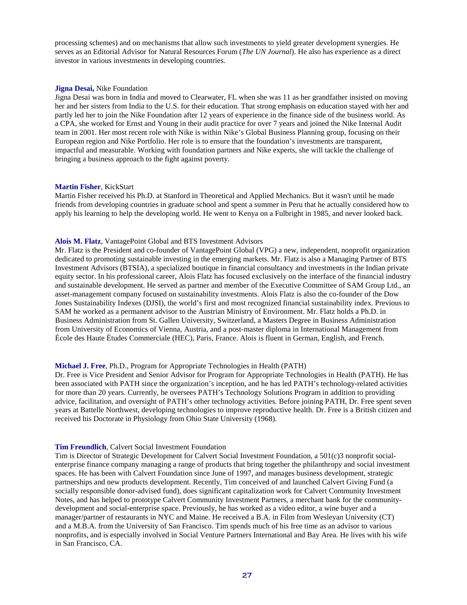processing schemes) and on mechanisms that allow such investments to yield greater development synergies. He serves as an Editorial Advisor for Natural Resources Forum (*The UN Journal*). He also has experience as a direct investor in various investments in developing countries.

#### **Jigna Desai,** Nike Foundation

Jigna Desai was born in India and moved to Clearwater, FL when she was 11 as her grandfather insisted on moving her and her sisters from India to the U.S. for their education. That strong emphasis on education stayed with her and partly led her to join the Nike Foundation after 12 years of experience in the finance side of the business world. As a CPA, she worked for Ernst and Young in their audit practice for over 7 years and joined the Nike Internal Audit team in 2001. Her most recent role with Nike is within Nike's Global Business Planning group, focusing on their European region and Nike Portfolio. Her role is to ensure that the foundation's investments are transparent, impactful and measurable. Working with foundation partners and Nike experts, she will tackle the challenge of bringing a business approach to the fight against poverty.

#### **Martin Fisher**, KickStart

Martin Fisher received his Ph.D. at Stanford in Theoretical and Applied Mechanics. But it wasn't until he made friends from developing countries in graduate school and spent a summer in Peru that he actually considered how to apply his learning to help the developing world. He went to Kenya on a Fulbright in 1985, and never looked back.

#### **Alois M. Flatz**, VantagePoint Global and BTS Investment Advisors

Mr. Flatz is the President and co-founder of VantagePoint Global (VPG) a new, independent, nonprofit organization dedicated to promoting sustainable investing in the emerging markets. Mr. Flatz is also a Managing Partner of BTS Investment Advisors (BTSIA), a specialized boutique in financial consultancy and investments in the Indian private equity sector. In his professional career, Alois Flatz has focused exclusively on the interface of the financial industry and sustainable development. He served as partner and member of the Executive Committee of SAM Group Ltd., an asset-management company focused on sustainability investments. Alois Flatz is also the co-founder of the Dow Jones Sustainability Indexes (DJSI), the world's first and most recognized financial sustainability index. Previous to SAM he worked as a permanent advisor to the Austrian Ministry of Environment. Mr. Flatz holds a Ph.D. in Business Administration from St. Gallen University, Switzerland, a Masters Degree in Business Administration from University of Economics of Vienna, Austria, and a post-master diploma in International Management from École des Haute Études Commerciale (HEC), Paris, France. Alois is fluent in German, English, and French.

#### **Michael J. Free**, Ph.D., Program for Appropriate Technologies in Health (PATH)

Dr. Free is Vice President and Senior Advisor for Program for Appropriate Technologies in Health (PATH). He has been associated with PATH since the organization's inception, and he has led PATH's technology-related activities for more than 20 years. Currently, he oversees PATH's Technology Solutions Program in addition to providing advice, facilitation, and oversight of PATH's other technology activities. Before joining PATH, Dr. Free spent seven years at Battelle Northwest, developing technologies to improve reproductive health. Dr. Free is a British citizen and received his Doctorate in Physiology from Ohio State University (1968).

#### **Tim Freundlich**, Calvert Social Investment Foundation

Tim is Director of Strategic Development for Calvert Social Investment Foundation, a 501(c)3 nonprofit socialenterprise finance company managing a range of products that bring together the philanthropy and social investment spaces. He has been with Calvert Foundation since June of 1997, and manages business development, strategic partnerships and new products development. Recently, Tim conceived of and launched Calvert Giving Fund (a socially responsible donor-advised fund), does significant capitalization work for Calvert Community Investment Notes, and has helped to prototype Calvert Community Investment Partners, a merchant bank for the communitydevelopment and social-enterprise space. Previously, he has worked as a video editor, a wine buyer and a manager/partner of restaurants in NYC and Maine. He received a B.A. in Film from Wesleyan University (CT) and a M.B.A. from the University of San Francisco. Tim spends much of his free time as an advisor to various nonprofits, and is especially involved in Social Venture Partners International and Bay Area. He lives with his wife in San Francisco, CA.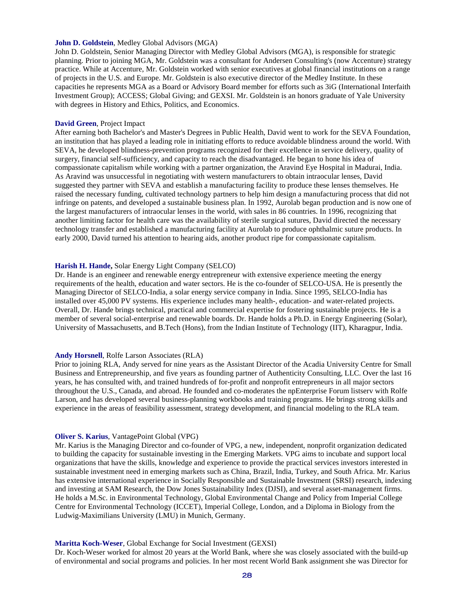#### **John D. Goldstein**, Medley Global Advisors (MGA)

John D. Goldstein, Senior Managing Director with Medley Global Advisors (MGA), is responsible for strategic planning. Prior to joining MGA, Mr. Goldstein was a consultant for Andersen Consulting's (now Accenture) strategy practice. While at Accenture, Mr. Goldstein worked with senior executives at global financial institutions on a range of projects in the U.S. and Europe. Mr. Goldstein is also executive director of the Medley Institute. In these capacities he represents MGA as a Board or Advisory Board member for efforts such as 3iG (International Interfaith Investment Group); ACCESS; Global Giving; and GEXSI. Mr. Goldstein is an honors graduate of Yale University with degrees in History and Ethics, Politics, and Economics.

#### **David Green**, Project Impact

After earning both Bachelor's and Master's Degrees in Public Health, David went to work for the SEVA Foundation, an institution that has played a leading role in initiating efforts to reduce avoidable blindness around the world. With SEVA, he developed blindness-prevention programs recognized for their excellence in service delivery, quality of surgery, financial self-sufficiency, and capacity to reach the disadvantaged. He began to hone his idea of compassionate capitalism while working with a partner organization, the Aravind Eye Hospital in Madurai, India. As Aravind was unsuccessful in negotiating with western manufacturers to obtain intraocular lenses, David suggested they partner with SEVA and establish a manufacturing facility to produce these lenses themselves. He raised the necessary funding, cultivated technology partners to help him design a manufacturing process that did not infringe on patents, and developed a sustainable business plan. In 1992, Aurolab began production and is now one of the largest manufacturers of intraocular lenses in the world, with sales in 86 countries. In 1996, recognizing that another limiting factor for health care was the availability of sterile surgical sutures, David directed the necessary technology transfer and established a manufacturing facility at Aurolab to produce ophthalmic suture products. In early 2000, David turned his attention to hearing aids, another product ripe for compassionate capitalism.

#### **Harish H. Hande,** Solar Energy Light Company (SELCO)

Dr. Hande is an engineer and renewable energy entrepreneur with extensive experience meeting the energy requirements of the health, education and water sectors. He is the co-founder of SELCO-USA. He is presently the Managing Director of SELCO-India, a solar energy service company in India. Since 1995, SELCO-India has installed over 45,000 PV systems. His experience includes many health-, education- and water-related projects. Overall, Dr. Hande brings technical, practical and commercial expertise for fostering sustainable projects. He is a member of several social-enterprise and renewable boards. Dr. Hande holds a Ph.D. in Energy Engineering (Solar), University of Massachusetts, and B.Tech (Hons), from the Indian Institute of Technology (IIT), Kharagpur, India.

#### **Andy Horsnell**, Rolfe Larson Associates (RLA)

Prior to joining RLA, Andy served for nine years as the Assistant Director of the Acadia University Centre for Small Business and Entrepreneurship, and five years as founding partner of Authenticity Consulting, LLC. Over the last 16 years, he has consulted with, and trained hundreds of for-profit and nonprofit entrepreneurs in all major sectors throughout the U.S., Canada, and abroad. He founded and co-moderates the npEnterprise Forum listserv with Rolfe Larson, and has developed several business-planning workbooks and training programs. He brings strong skills and experience in the areas of feasibility assessment, strategy development, and financial modeling to the RLA team.

#### **Oliver S. Karius**, VantagePoint Global (VPG)

Mr. Karius is the Managing Director and co-founder of VPG, a new, independent, nonprofit organization dedicated to building the capacity for sustainable investing in the Emerging Markets. VPG aims to incubate and support local organizations that have the skills, knowledge and experience to provide the practical services investors interested in sustainable investment need in emerging markets such as China, Brazil, India, Turkey, and South Africa. Mr. Karius has extensive international experience in Socially Responsible and Sustainable Investment (SRSI) research, indexing and investing at SAM Research, the Dow Jones Sustainability Index (DJSI), and several asset-management firms. He holds a M.Sc. in Environmental Technology, Global Environmental Change and Policy from Imperial College Centre for Environmental Technology (ICCET), Imperial College, London, and a Diploma in Biology from the Ludwig-Maximilians University (LMU) in Munich, Germany.

#### **Maritta Koch-Weser**, Global Exchange for Social Investment (GEXSI)

Dr. Koch-Weser worked for almost 20 years at the World Bank, where she was closely associated with the build-up of environmental and social programs and policies. In her most recent World Bank assignment she was Director for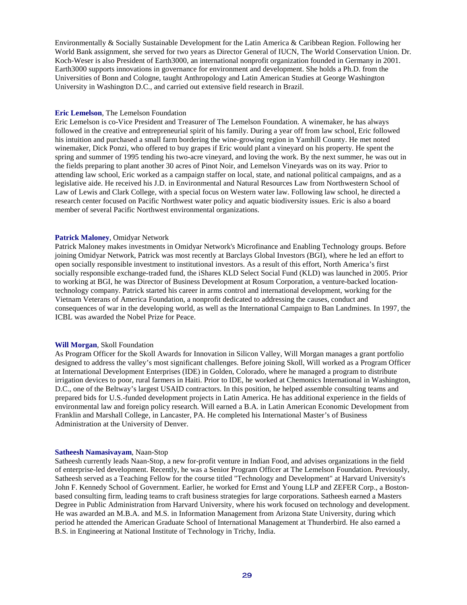Environmentally & Socially Sustainable Development for the Latin America & Caribbean Region. Following her World Bank assignment, she served for two years as Director General of IUCN, The World Conservation Union. Dr. Koch-Weser is also President of Earth3000, an international nonprofit organization founded in Germany in 2001. Earth3000 supports innovations in governance for environment and development. She holds a Ph.D. from the Universities of Bonn and Cologne, taught Anthropology and Latin American Studies at George Washington University in Washington D.C., and carried out extensive field research in Brazil.

#### **Eric Lemelson**, The Lemelson Foundation

Eric Lemelson is co-Vice President and Treasurer of The Lemelson Foundation. A winemaker, he has always followed in the creative and entrepreneurial spirit of his family. During a year off from law school, Eric followed his intuition and purchased a small farm bordering the wine-growing region in Yamhill County. He met noted winemaker, Dick Ponzi, who offered to buy grapes if Eric would plant a vineyard on his property. He spent the spring and summer of 1995 tending his two-acre vineyard, and loving the work. By the next summer, he was out in the fields preparing to plant another 30 acres of Pinot Noir, and Lemelson Vineyards was on its way. Prior to attending law school, Eric worked as a campaign staffer on local, state, and national political campaigns, and as a legislative aide. He received his J.D. in Environmental and Natural Resources Law from Northwestern School of Law of Lewis and Clark College, with a special focus on Western water law. Following law school, he directed a research center focused on Pacific Northwest water policy and aquatic biodiversity issues. Eric is also a board member of several Pacific Northwest environmental organizations.

#### **Patrick Maloney**, Omidyar Network

Patrick Maloney makes investments in Omidyar Network's Microfinance and Enabling Technology groups. Before joining Omidyar Network, Patrick was most recently at Barclays Global Investors (BGI), where he led an effort to open socially responsible investment to institutional investors. As a result of this effort, North America's first socially responsible exchange-traded fund, the iShares KLD Select Social Fund (KLD) was launched in 2005. Prior to working at BGI, he was Director of Business Development at Rosum Corporation, a venture-backed locationtechnology company. Patrick started his career in arms control and international development, working for the Vietnam Veterans of America Foundation, a nonprofit dedicated to addressing the causes, conduct and consequences of war in the developing world, as well as the International Campaign to Ban Landmines. In 1997, the ICBL was awarded the Nobel Prize for Peace.

#### **Will Morgan**, Skoll Foundation

As Program Officer for the Skoll Awards for Innovation in Silicon Valley, Will Morgan manages a grant portfolio designed to address the valley's most significant challenges. Before joining Skoll, Will worked as a Program Officer at International Development Enterprises (IDE) in Golden, Colorado, where he managed a program to distribute irrigation devices to poor, rural farmers in Haiti. Prior to IDE, he worked at Chemonics International in Washington, D.C., one of the Beltway's largest USAID contractors. In this position, he helped assemble consulting teams and prepared bids for U.S.-funded development projects in Latin America. He has additional experience in the fields of environmental law and foreign policy research. Will earned a B.A. in Latin American Economic Development from Franklin and Marshall College, in Lancaster, PA. He completed his International Master's of Business Administration at the University of Denver.

#### **Satheesh Namasivayam**, Naan-Stop

Satheesh currently leads Naan-Stop, a new for-profit venture in Indian Food, and advises organizations in the field of enterprise-led development. Recently, he was a Senior Program Officer at The Lemelson Foundation. Previously, Satheesh served as a Teaching Fellow for the course titled "Technology and Development" at Harvard University's John F. Kennedy School of Government. Earlier, he worked for Ernst and Young LLP and ZEFER Corp., a Bostonbased consulting firm, leading teams to craft business strategies for large corporations. Satheesh earned a Masters Degree in Public Administration from Harvard University, where his work focused on technology and development. He was awarded an M.B.A. and M.S. in Information Management from Arizona State University, during which period he attended the American Graduate School of International Management at Thunderbird. He also earned a B.S. in Engineering at National Institute of Technology in Trichy, India.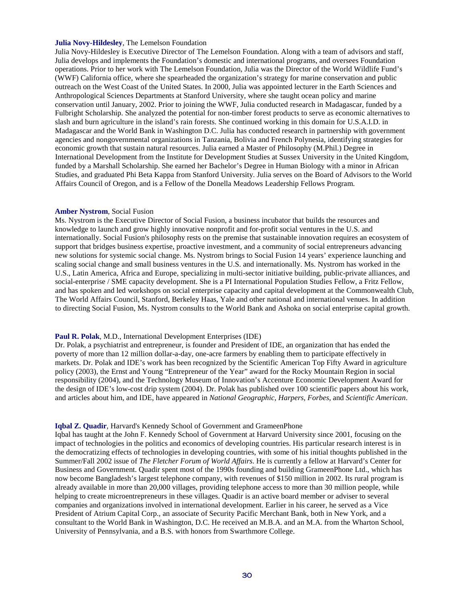#### **Julia Novy-Hildesley**, The Lemelson Foundation

Julia Novy-Hildesley is Executive Director of The Lemelson Foundation. Along with a team of advisors and staff, Julia develops and implements the Foundation's domestic and international programs, and oversees Foundation operations. Prior to her work with The Lemelson Foundation, Julia was the Director of the World Wildlife Fund's (WWF) California office, where she spearheaded the organization's strategy for marine conservation and public outreach on the West Coast of the United States. In 2000, Julia was appointed lecturer in the Earth Sciences and Anthropological Sciences Departments at Stanford University, where she taught ocean policy and marine conservation until January, 2002. Prior to joining the WWF, Julia conducted research in Madagascar, funded by a Fulbright Scholarship. She analyzed the potential for non-timber forest products to serve as economic alternatives to slash and burn agriculture in the island's rain forests. She continued working in this domain for U.S.A.I.D. in Madagascar and the World Bank in Washington D.C. Julia has conducted research in partnership with government agencies and nongovernmental organizations in Tanzania, Bolivia and French Polynesia, identifying strategies for economic growth that sustain natural resources. Julia earned a Master of Philosophy (M.Phil.) Degree in International Development from the Institute for Development Studies at Sussex University in the United Kingdom, funded by a Marshall Scholarship. She earned her Bachelor's Degree in Human Biology with a minor in African Studies, and graduated Phi Beta Kappa from Stanford University. Julia serves on the Board of Advisors to the World Affairs Council of Oregon, and is a Fellow of the Donella Meadows Leadership Fellows Program.

#### **Amber Nystrom**, Social Fusion

Ms. Nystrom is the Executive Director of Social Fusion, a business incubator that builds the resources and knowledge to launch and grow highly innovative nonprofit and for-profit social ventures in the U.S. and internationally. Social Fusion's philosophy rests on the premise that sustainable innovation requires an ecosystem of support that bridges business expertise, proactive investment, and a community of social entrepreneurs advancing new solutions for systemic social change. Ms. Nystrom brings to Social Fusion 14 years' experience launching and scaling social change and small business ventures in the U.S. and internationally. Ms. Nystrom has worked in the U.S., Latin America, Africa and Europe, specializing in multi-sector initiative building, public-private alliances, and social-enterprise / SME capacity development. She is a PI International Population Studies Fellow, a Fritz Fellow, and has spoken and led workshops on social enterprise capacity and capital development at the Commonwealth Club, The World Affairs Council, Stanford, Berkeley Haas, Yale and other national and international venues. In addition to directing Social Fusion, Ms. Nystrom consults to the World Bank and Ashoka on social enterprise capital growth.

#### **Paul R. Polak**, M.D., International Development Enterprises (IDE)

Dr. Polak, a psychiatrist and entrepreneur, is founder and President of IDE, an organization that has ended the poverty of more than 12 million dollar-a-day, one-acre farmers by enabling them to participate effectively in markets. Dr. Polak and IDE's work has been recognized by the Scientific American Top Fifty Award in agriculture policy (2003), the Ernst and Young "Entrepreneur of the Year" award for the Rocky Mountain Region in social responsibility (2004), and the Technology Museum of Innovation's Accenture Economic Development Award for the design of IDE's low-cost drip system (2004). Dr. Polak has published over 100 scientific papers about his work, and articles about him, and IDE, have appeared in *National Geographic*, *Harpers*, *Forbes*, and *Scientific American*.

#### **Iqbal Z. Quadir**, Harvard's Kennedy School of Government and GrameenPhone

Iqbal has taught at the John F. Kennedy School of Government at Harvard University since 2001, focusing on the impact of technologies in the politics and economics of developing countries. His particular research interest is in the democratizing effects of technologies in developing countries, with some of his initial thoughts published in the Summer/Fall 2002 issue of *The Fletcher Forum of World Affairs*. He is currently a fellow at Harvard's Center for Business and Government. Quadir spent most of the 1990s founding and building GrameenPhone Ltd., which has now become Bangladesh's largest telephone company, with revenues of \$150 million in 2002. Its rural program is already available in more than 20,000 villages, providing telephone access to more than 30 million people, while helping to create microentrepreneurs in these villages. Quadir is an active board member or adviser to several companies and organizations involved in international development. Earlier in his career, he served as a Vice President of Atrium Capital Corp., an associate of Security Pacific Merchant Bank, both in New York, and a consultant to the World Bank in Washington, D.C. He received an M.B.A. and an M.A. from the Wharton School, University of Pennsylvania, and a B.S. with honors from Swarthmore College.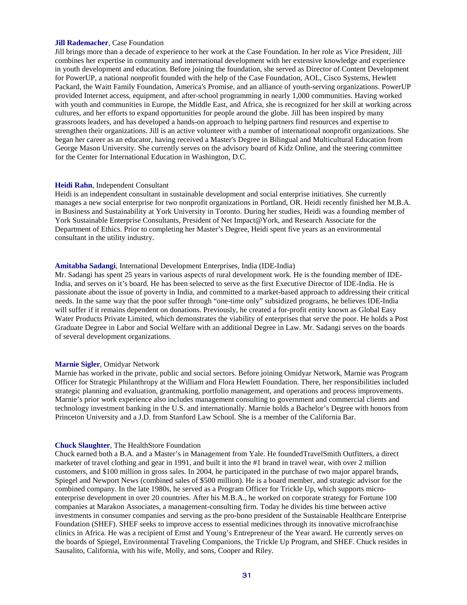#### **Jill Rademacher**, Case Foundation

Jill brings more than a decade of experience to her work at the Case Foundation. In her role as Vice President, Jill combines her expertise in community and international development with her extensive knowledge and experience in youth development and education. Before joining the foundation, she served as Director of Content Development for PowerUP, a national nonprofit founded with the help of the Case Foundation, AOL, Cisco Systems, Hewlett Packard, the Waitt Family Foundation, America's Promise, and an alliance of youth-serving organizations. PowerUP provided Internet access, equipment, and after-school programming in nearly 1,000 communities. Having worked with youth and communities in Europe, the Middle East, and Africa, she is recognized for her skill at working across cultures, and her efforts to expand opportunities for people around the globe. Jill has been inspired by many grassroots leaders, and has developed a hands-on approach to helping partners find resources and expertise to strengthen their organizations. Jill is an active volunteer with a number of international nonprofit organizations. She began her career as an educator, having received a Master's Degree in Bilingual and Multicultural Education from George Mason University. She currently serves on the advisory board of Kidz Online, and the steering committee for the Center for International Education in Washington, D.C.

#### **Heidi Rahn**, Independent Consultant

Heidi is an independent consultant in sustainable development and social enterprise initiatives. She currently manages a new social enterprise for two nonprofit organizations in Portland, OR. Heidi recently finished her M.B.A. in Business and Sustainability at York University in Toronto. During her studies, Heidi was a founding member of York Sustainable Enterprise Consultants, President of Net Impact@York, and Research Associate for the Department of Ethics. Prior to completing her Master's Degree, Heidi spent five years as an environmental consultant in the utility industry.

#### **Amitabha Sadangi**, International Development Enterprises, India (IDE-India)

Mr. Sadangi has spent 25 years in various aspects of rural development work. He is the founding member of IDE-India, and serves on it's board. He has been selected to serve as the first Executive Director of IDE-India. He is passionate about the issue of poverty in India, and committed to a market-based approach to addressing their critical needs. In the same way that the poor suffer through "one-time only" subsidized programs, he believes IDE-India will suffer if it remains dependent on donations. Previously, he created a for-profit entity known as Global Easy Water Products Private Limited, which demonstrates the viability of enterprises that serve the poor. He holds a Post Graduate Degree in Labor and Social Welfare with an additional Degree in Law. Mr. Sadangi serves on the boards of several development organizations.

#### **Marnie Sigler**, Omidyar Network

Marnie has worked in the private, public and social sectors. Before joining Omidyar Network, Marnie was Program Officer for Strategic Philanthropy at the William and Flora Hewlett Foundation. There, her responsibilities included strategic planning and evaluation, grantmaking, portfolio management, and operations and process improvements. Marnie's prior work experience also includes management consulting to government and commercial clients and technology investment banking in the U.S. and internationally. Marnie holds a Bachelor's Degree with honors from Princeton University and a J.D. from Stanford Law School. She is a member of the California Bar.

#### **Chuck Slaughter**, The HealthStore Foundation

Chuck earned both a B.A. and a Master's in Management from Yale. He foundedTravelSmith Outfitters, a direct marketer of travel clothing and gear in 1991, and built it into the #1 brand in travel wear, with over 2 million customers, and \$100 million in gross sales. In 2004, he participated in the purchase of two major apparel brands, Spiegel and Newport News (combined sales of \$500 million). He is a board member, and strategic advisor for the combined company. In the late 1980s, he served as a Program Officer for Trickle Up, which supports microenterprise development in over 20 countries. After his M.B.A., he worked on corporate strategy for Fortune 100 companies at Marakon Associates, a management-consulting firm. Today he divides his time between active investments in consumer companies and serving as the pro-bono president of the Sustainable Healthcare Enterprise Foundation (SHEF). SHEF seeks to improve access to essential medicines through its innovative microfranchise clinics in Africa. He was a recipient of Ernst and Young's Entrepreneur of the Year award. He currently serves on the boards of Spiegel, Environmental Traveling Companions, the Trickle Up Program, and SHEF. Chuck resides in Sausalito, California, with his wife, Molly, and sons, Cooper and Riley.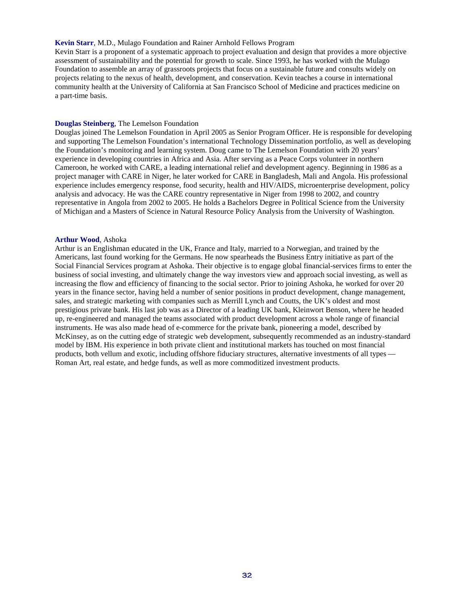#### **Kevin Starr**, M.D., Mulago Foundation and Rainer Arnhold Fellows Program

Kevin Starr is a proponent of a systematic approach to project evaluation and design that provides a more objective assessment of sustainability and the potential for growth to scale. Since 1993, he has worked with the Mulago Foundation to assemble an array of grassroots projects that focus on a sustainable future and consults widely on projects relating to the nexus of health, development, and conservation. Kevin teaches a course in international community health at the University of California at San Francisco School of Medicine and practices medicine on a part-time basis.

#### **Douglas Steinberg**, The Lemelson Foundation

Douglas joined The Lemelson Foundation in April 2005 as Senior Program Officer. He is responsible for developing and supporting The Lemelson Foundation's international Technology Dissemination portfolio, as well as developing the Foundation's monitoring and learning system. Doug came to The Lemelson Foundation with 20 years' experience in developing countries in Africa and Asia. After serving as a Peace Corps volunteer in northern Cameroon, he worked with CARE, a leading international relief and development agency. Beginning in 1986 as a project manager with CARE in Niger, he later worked for CARE in Bangladesh, Mali and Angola. His professional experience includes emergency response, food security, health and HIV/AIDS, microenterprise development, policy analysis and advocacy. He was the CARE country representative in Niger from 1998 to 2002, and country representative in Angola from 2002 to 2005. He holds a Bachelors Degree in Political Science from the University of Michigan and a Masters of Science in Natural Resource Policy Analysis from the University of Washington.

#### **Arthur Wood**, Ashoka

Arthur is an Englishman educated in the UK, France and Italy, married to a Norwegian, and trained by the Americans, last found working for the Germans. He now spearheads the Business Entry initiative as part of the Social Financial Services program at Ashoka. Their objective is to engage global financial-services firms to enter the business of social investing, and ultimately change the way investors view and approach social investing, as well as increasing the flow and efficiency of financing to the social sector. Prior to joining Ashoka, he worked for over 20 years in the finance sector, having held a number of senior positions in product development, change management, sales, and strategic marketing with companies such as Merrill Lynch and Coutts, the UK's oldest and most prestigious private bank. His last job was as a Director of a leading UK bank, Kleinwort Benson, where he headed up, re-engineered and managed the teams associated with product development across a whole range of financial instruments. He was also made head of e-commerce for the private bank, pioneering a model, described by McKinsey, as on the cutting edge of strategic web development, subsequently recommended as an industry-standard model by IBM. His experience in both private client and institutional markets has touched on most financial products, both vellum and exotic, including offshore fiduciary structures, alternative investments of all types — Roman Art, real estate, and hedge funds, as well as more commoditized investment products.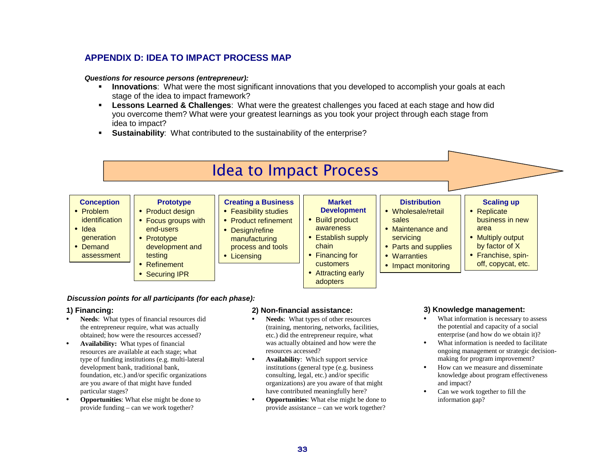## **APPENDIX D: IDEA TO IMPACT PROCESS MAP**

#### **Questions for resource persons (entrepreneur):**

- **Innovations**: What were the most significant innovations that you developed to accomplish your goals at each stage of the idea to impact framework?
- **Lessons Learned & Challenges**: What were the greatest challenges you faced at each stage and how did you overcome them? What were your greatest learnings as you took your project through each stage from idea to impact?
- **Sustainability**: What contributed to the sustainability of the enterprise?

# Idea to Impact Process

| <b>Creating a Business</b><br><b>Market</b><br><b>Distribution</b><br><b>Conception</b><br><b>Scaling up</b><br><b>Prototype</b><br><b>Development</b><br><b>Feasibility studies</b><br>• Wholesale/retail<br>• Replicate<br>Product design<br>identification<br><b>Build product</b><br>business in new<br>sales<br><b>Product refinement</b><br>Focus groups with<br>Maintenance and<br>awareness<br>area<br>end-users<br>• Design/refine<br><b>Establish supply</b><br>• Multiply output<br>servicing<br>generation<br>Prototype<br>manufacturing<br>by factor of X<br>chain<br><b>Parts and supplies</b><br>development and<br>process and tools<br>• Franchise, spin-<br>Financing for<br>testing<br>assessment<br>Warranties<br>Licensing<br>off, copycat, etc.<br><b>customers</b><br>Refinement<br>Impact monitoring<br>Attracting early<br><b>Securing IPR</b> |                                         |  |          |  |  |
|-------------------------------------------------------------------------------------------------------------------------------------------------------------------------------------------------------------------------------------------------------------------------------------------------------------------------------------------------------------------------------------------------------------------------------------------------------------------------------------------------------------------------------------------------------------------------------------------------------------------------------------------------------------------------------------------------------------------------------------------------------------------------------------------------------------------------------------------------------------------------|-----------------------------------------|--|----------|--|--|
|                                                                                                                                                                                                                                                                                                                                                                                                                                                                                                                                                                                                                                                                                                                                                                                                                                                                         | • Problem<br>$\bullet$ Idea<br>• Demand |  | adopters |  |  |

#### **Discussion points for all participants (for each phase):**

#### **1) Financing:**

- • **Needs**: What types of financial resources did the entrepreneur require, what was actually obtained; how were the resources accessed?
- • **Availability:** What types of financial resources are available at each stage; what type of funding institutions (e.g. multi-lateral development bank, traditional bank, foundation, etc.) and/or specific organizations are you aware of that might have funded particular stages?
- • **Opportunities**: What else might be done to provide funding – can we work together?

#### **2) Non-financial assistance:**

- • **Needs**: What types of other resources (training, mentoring, networks, facilities, etc.) did the entrepreneur require, what was actually obtained and how were the resources accessed?
- • **Availability**: Which support service institutions (general type (e.g. business consulting, legal, etc.) and/or specific organizations) are you aware of that might have contributed meaningfully here?
- • **Opportunities**: What else might be done to provide assistance – can we work together?

#### **3) Knowledge management:**

- • What information is necessary to assess the potential and capacity of a social enterprise (and how do we obtain it)?
- • What information is needed to facilitate ongoing management or strategic decisionmaking for program improvement?
- • How can we measure and disseminate knowledge about program effectiveness and impact?
- • Can we work together to fill the information gap?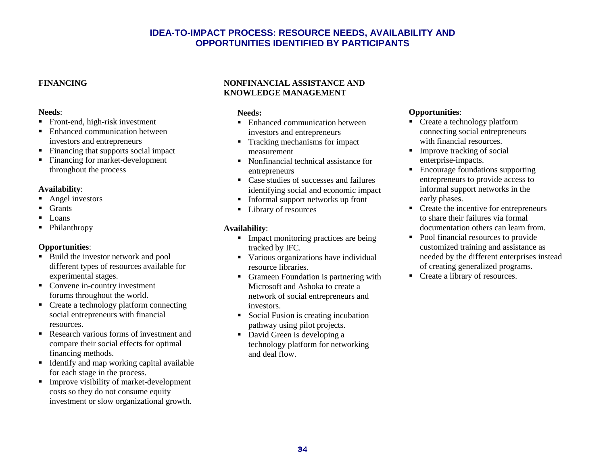## **IDEA-TO-IMPACT PROCESS: RESOURCE NEEDS, AVAILABILITY AND OPPORTUNITIES IDENTIFIED BY PARTICIPANTS**

#### **FINANCING**

#### **Needs**:

- Front-end, high-risk investment
- Enhanced communication between investors and entrepreneurs
- Financing that supports social impact
- Financing for market-development throughout the process

#### **Availability**:

- Angel investors
- **Grants**
- Loans
- Philanthropy

#### **Opportunities**:

- Build the investor network and pool different types of resources available for experimental stages.
- Convene in-country investment forums throughout the world.
- Create a technology platform connecting social entrepreneurs with financial resources.
- Research various forms of investment and compare their social effects for optimal financing methods.
- Identify and map working capital available for each stage in the process.
- Improve visibility of market-development costs so they do not consume equity investment or slow organizational growth.

#### **NONFINANCIAL ASSISTANCE AND KNOWLEDGE MANAGEMENT**

#### **Needs:**

- Enhanced communication between investors and entrepreneurs
- Tracking mechanisms for impact measurement
- Nonfinancial technical assistance for entrepreneurs
- Case studies of successes and failures identifying social and economic impact
- Informal support networks up front
- Library of resources

#### **Availability**:

- Impact monitoring practices are being tracked by IFC.
- Various organizations have individual resource libraries.
- Grameen Foundation is partnering with Microsoft and Ashoka to create a network of social entrepreneurs and investors.
- Social Fusion is creating incubation pathway using pilot projects.
- David Green is developing a technology platform for networking and deal flow.

#### **Opportunities**:

- Create a technology platform connecting social entrepreneurs with financial resources.
- Improve tracking of social enterprise-impacts.
- Encourage foundations supporting entrepreneurs to provide access to informal support networks in the early phases.
- Create the incentive for entrepreneurs to share their failures via formal documentation others can learn from.
- Pool financial resources to provide customized training and assistance as needed by the different enterprises instead of creating generalized programs.
- Create a library of resources.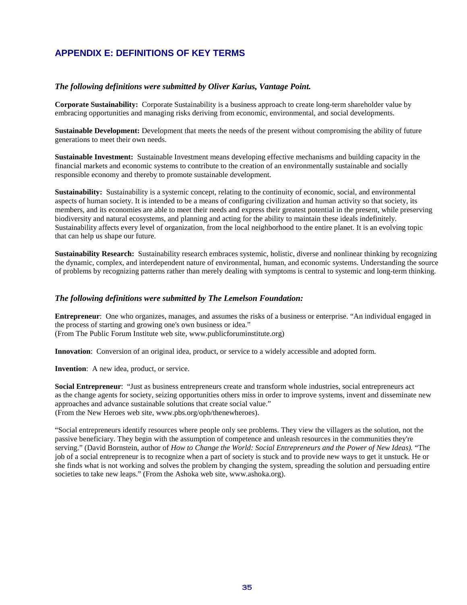## **APPENDIX E: DEFINITIONS OF KEY TERMS**

#### *The following definitions were submitted by Oliver Karius, Vantage Point.*

**Corporate Sustainability:** Corporate Sustainability is a business approach to create long-term shareholder value by embracing opportunities and managing risks deriving from economic, environmental, and social developments.

**Sustainable Development:** Development that meets the needs of the present without compromising the ability of future generations to meet their own needs.

**Sustainable Investment:** Sustainable Investment means developing effective mechanisms and building capacity in the financial markets and economic systems to contribute to the creation of an environmentally sustainable and socially responsible economy and thereby to promote sustainable development.

**Sustainability:** Sustainability is a systemic concept, relating to the continuity of economic, social, and environmental aspects of human society. It is intended to be a means of configuring civilization and human activity so that society, its members, and its economies are able to meet their needs and express their greatest potential in the present, while preserving biodiversity and natural ecosystems, and planning and acting for the ability to maintain these ideals indefinitely. Sustainability affects every level of organization, from the local neighborhood to the entire planet. It is an evolving topic that can help us shape our future.

**Sustainability Research:** Sustainability research embraces systemic, holistic, diverse and nonlinear thinking by recognizing the dynamic, complex, and interdependent nature of environmental, human, and economic systems. Understanding the source of problems by recognizing patterns rather than merely dealing with symptoms is central to systemic and long-term thinking.

#### *The following definitions were submitted by The Lemelson Foundation:*

**Entrepreneur**: One who organizes, manages, and assumes the risks of a business or enterprise. "An individual engaged in the process of starting and growing one's own business or idea." (From The Public Forum Institute web site, www.publicforuminstitute.org)

**Innovation**: Conversion of an original idea, product, or service to a widely accessible and adopted form.

**Invention**: A new idea, product, or service.

**Social Entrepreneur**: "Just as business entrepreneurs create and transform whole industries, social entrepreneurs act as the change agents for society, seizing opportunities others miss in order to improve systems, invent and disseminate new approaches and advance sustainable solutions that create social value." (From the New Heroes web site, www.pbs.org/opb/thenewheroes).

"Social entrepreneurs identify resources where people only see problems. They view the villagers as the solution, not the passive beneficiary. They begin with the assumption of competence and unleash resources in the communities they're serving." (David Bornstein, author of *How to Change the World: Social Entrepreneurs and the Power of New Ideas).* "The job of a social entrepreneur is to recognize when a part of society is stuck and to provide new ways to get it unstuck. He or she finds what is not working and solves the problem by changing the system, spreading the solution and persuading entire societies to take new leaps." (From the Ashoka web site, www.ashoka.org).